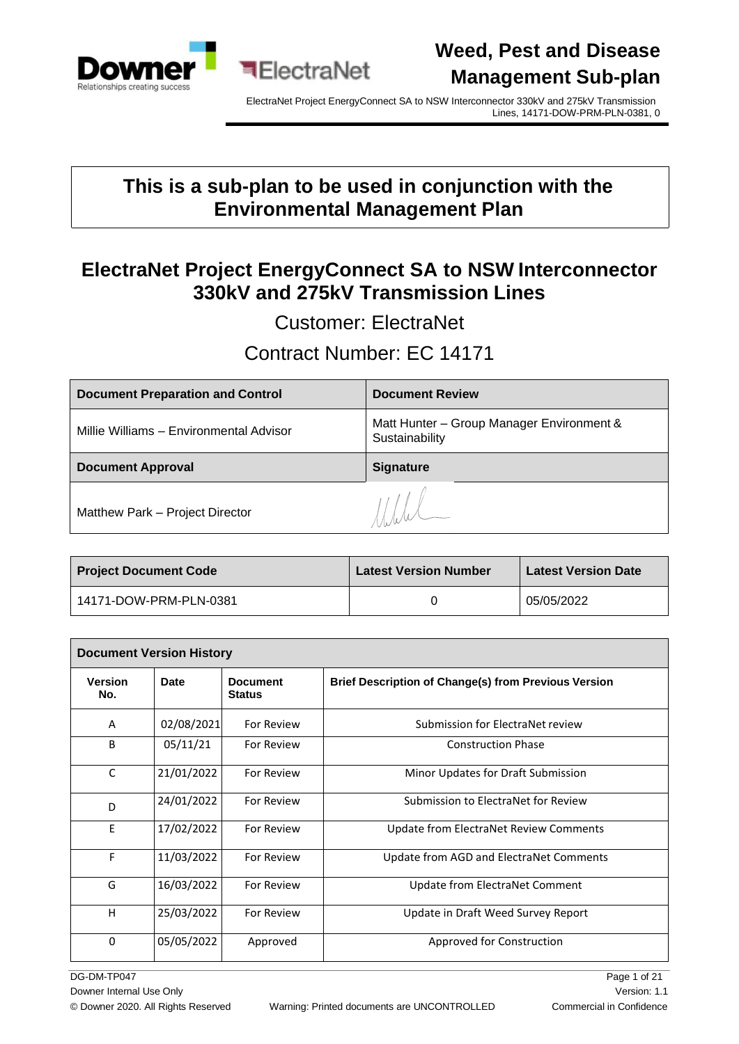

ElectraNet Project EnergyConnect SA to NSW Interconnector 330kV and 275kV Transmission Lines, 14171-DOW-PRM-PLN-0381, 0

### **This is a sub-plan to be used in conjunction with the Environmental Management Plan**

### **ElectraNet Project EnergyConnect SA to NSW Interconnector 330kV and 275kV Transmission Lines**

Customer: ElectraNet

### Contract Number: EC 14171

| <b>Document Preparation and Control</b> | <b>Document Review</b>                                      |
|-----------------------------------------|-------------------------------------------------------------|
| Millie Williams - Environmental Advisor | Matt Hunter - Group Manager Environment &<br>Sustainability |
| <b>Document Approval</b>                | <b>Signature</b>                                            |
| Matthew Park - Project Director         | 11.11                                                       |

| <b>Project Document Code</b> | <b>Latest Version Number</b> | <b>Latest Version Date</b> |  |
|------------------------------|------------------------------|----------------------------|--|
| 14171-DOW-PRM-PLN-0381       |                              | 05/05/2022                 |  |

| <b>Document Version History</b> |            |                                  |                                                             |  |
|---------------------------------|------------|----------------------------------|-------------------------------------------------------------|--|
| <b>Version</b><br>No.           | Date       | <b>Document</b><br><b>Status</b> | <b>Brief Description of Change(s) from Previous Version</b> |  |
| A                               | 02/08/2021 | For Review                       | Submission for ElectraNet review                            |  |
| B                               | 05/11/21   | <b>For Review</b>                | <b>Construction Phase</b>                                   |  |
| C                               | 21/01/2022 | For Review                       | Minor Updates for Draft Submission                          |  |
| D                               | 24/01/2022 | For Review                       | Submission to ElectraNet for Review                         |  |
| E                               | 17/02/2022 | For Review                       | Update from ElectraNet Review Comments                      |  |
| F                               | 11/03/2022 | <b>For Review</b>                | Update from AGD and ElectraNet Comments                     |  |
| G                               | 16/03/2022 | <b>For Review</b>                | Update from ElectraNet Comment                              |  |
| H                               | 25/03/2022 | For Review                       | Update in Draft Weed Survey Report                          |  |
| $\Omega$                        | 05/05/2022 | Approved                         | Approved for Construction                                   |  |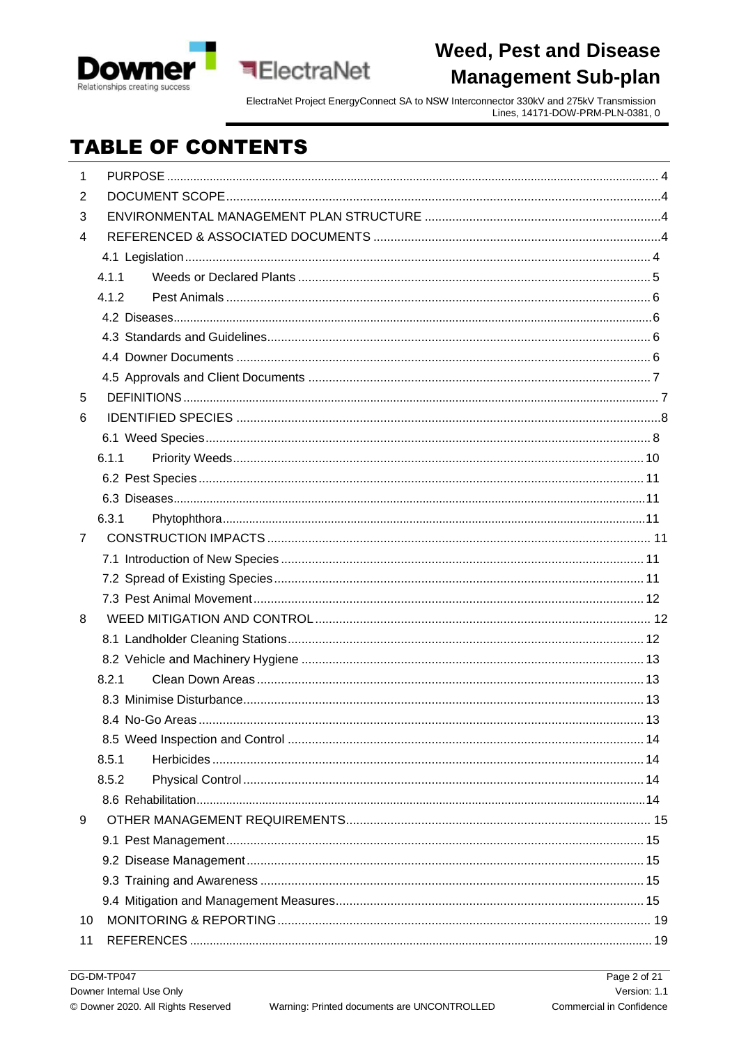



## **TABLE OF CONTENTS**

**ElectraNet** 

| 1  |       |  |
|----|-------|--|
| 2  |       |  |
| 3  |       |  |
| 4  |       |  |
|    |       |  |
|    | 4.1.1 |  |
|    | 4.1.2 |  |
|    |       |  |
|    |       |  |
|    |       |  |
|    |       |  |
| 5  |       |  |
| 6  |       |  |
|    |       |  |
|    | 6.1.1 |  |
|    |       |  |
|    |       |  |
|    | 6.3.1 |  |
| 7  |       |  |
|    |       |  |
|    |       |  |
|    |       |  |
| 8  |       |  |
|    |       |  |
|    |       |  |
|    | 8.2.1 |  |
|    |       |  |
|    |       |  |
|    |       |  |
|    | 8.5.1 |  |
|    | 8.5.2 |  |
|    |       |  |
| 9  |       |  |
|    |       |  |
|    |       |  |
|    |       |  |
|    |       |  |
| 10 |       |  |
| 11 |       |  |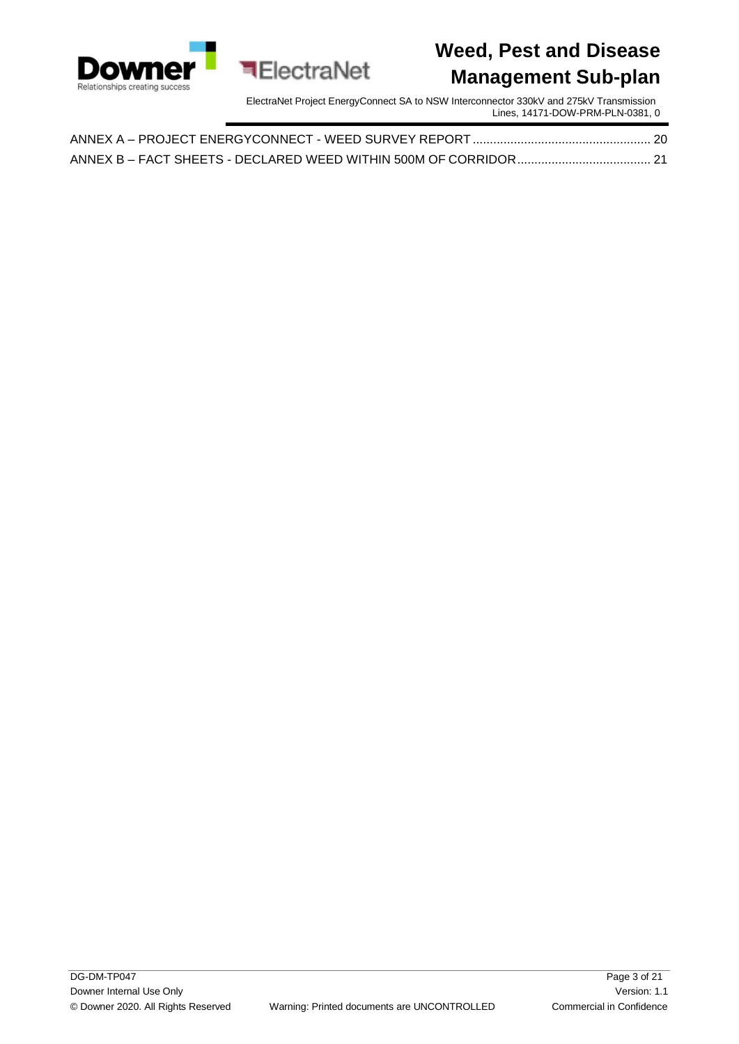

ElectraNet Project EnergyConnect SA to NSW Interconnector 330kV and 275kV Transmission Lines, 14171-DOW-PRM-PLN-0381, 0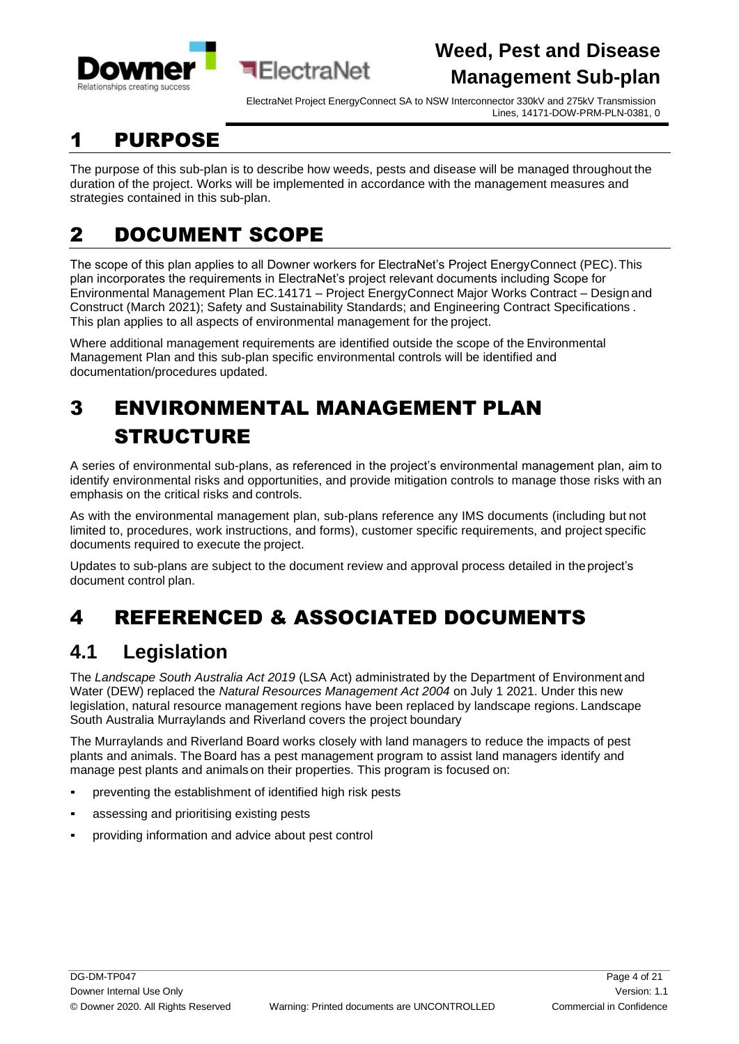



## <span id="page-3-0"></span>1 PURPOSE

The purpose of this sub-plan is to describe how weeds, pests and disease will be managed throughout the duration of the project. Works will be implemented in accordance with the management measures and strategies contained in this sub-plan.

# <span id="page-3-1"></span>2 DOCUMENT SCOPE

The scope of this plan applies to all Downer workers for ElectraNet's Project EnergyConnect (PEC).This plan incorporates the requirements in ElectraNet's project relevant documents including Scope for Environmental Management Plan EC.14171 – Project EnergyConnect Major Works Contract – Design and Construct (March 2021); Safety and Sustainability Standards; and Engineering Contract Specifications . This plan applies to all aspects of environmental management for the project.

Where additional management requirements are identified outside the scope of the Environmental Management Plan and this sub-plan specific environmental controls will be identified and documentation/procedures updated.

# <span id="page-3-2"></span>3 ENVIRONMENTAL MANAGEMENT PLAN STRUCTURE

**बElectraNet** 

A series of environmental sub-plans, as referenced in the project's environmental management plan, aim to identify environmental risks and opportunities, and provide mitigation controls to manage those risks with an emphasis on the critical risks and controls.

As with the environmental management plan, sub-plans reference any IMS documents (including but not limited to, procedures, work instructions, and forms), customer specific requirements, and project specific documents required to execute the project.

Updates to sub-plans are subject to the document review and approval process detailed in the project's document control plan.

# <span id="page-3-3"></span>4 REFERENCED & ASSOCIATED DOCUMENTS

### <span id="page-3-4"></span>**4.1 Legislation**

The *Landscape South Australia Act 2019* (LSA Act) administrated by the Department of Environment and Water (DEW) replaced the *Natural Resources Management Act 2004* on July 1 2021. Under this new legislation, natural resource management regions have been replaced by landscape regions. Landscape South Australia Murraylands and Riverland covers the project boundary

The Murraylands and Riverland Board works closely with land managers to reduce the impacts of pest plants and animals. The Board has a pest management program to assist land managers identify and manage pest plants and animals on their properties. This program is focused on:

- preventing the establishment of identified high risk pests
- assessing and prioritising existing pests
- providing information and advice about pest control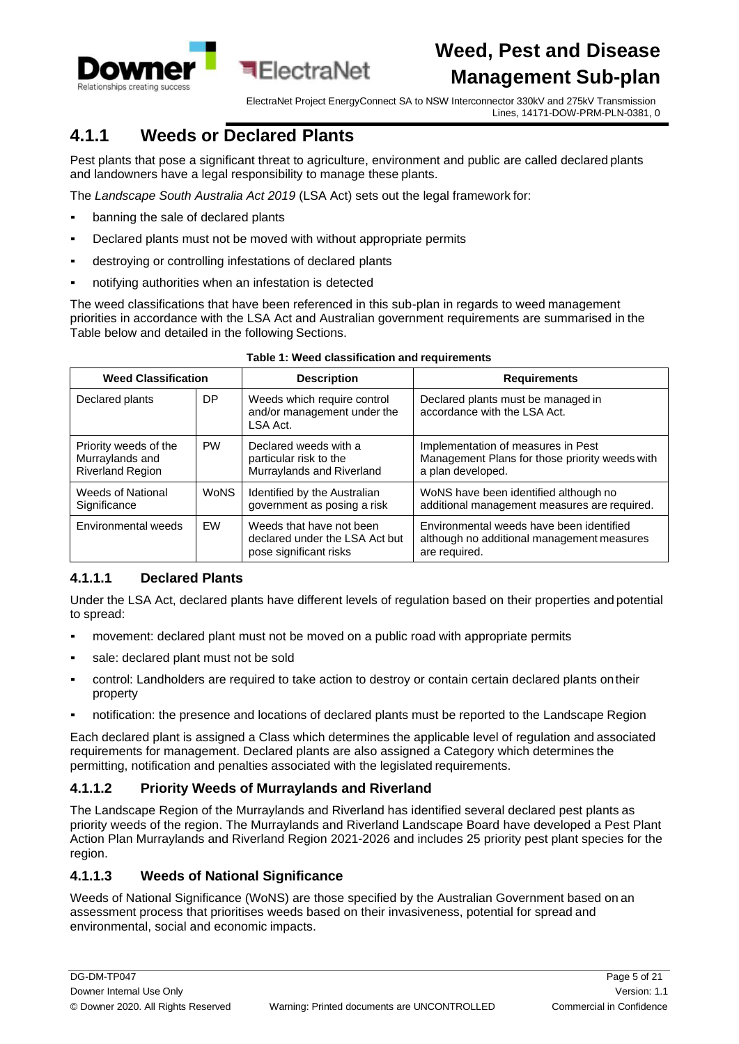

ElectraNet Project EnergyConnect SA to NSW Interconnector 330kV and 275kV Transmission Lines, 14171-DOW-PRM-PLN-0381, 0

### <span id="page-4-0"></span>**4.1.1 Weeds or Declared Plants**

Pest plants that pose a significant threat to agriculture, environment and public are called declared plants and landowners have a legal responsibility to manage these plants.

The *Landscape South Australia Act 2019* (LSA Act) sets out the legal framework for:

- banning the sale of declared plants
- Declared plants must not be moved with without appropriate permits
- destroying or controlling infestations of declared plants
- notifying authorities when an infestation is detected

The weed classifications that have been referenced in this sub-plan in regards to weed management priorities in accordance with the LSA Act and Australian government requirements are summarised in the Table below and detailed in the following Sections.

| <b>Weed Classification</b>                                          |             | <b>Description</b>                                                                   | <b>Requirements</b>                                                                                       |  |
|---------------------------------------------------------------------|-------------|--------------------------------------------------------------------------------------|-----------------------------------------------------------------------------------------------------------|--|
| Declared plants                                                     | DP          | Weeds which require control<br>and/or management under the<br>LSA Act.               | Declared plants must be managed in<br>accordance with the LSA Act.                                        |  |
| Priority weeds of the<br>Murraylands and<br><b>Riverland Region</b> | <b>PW</b>   | Declared weeds with a<br>particular risk to the<br>Murraylands and Riverland         | Implementation of measures in Pest<br>Management Plans for those priority weeds with<br>a plan developed. |  |
| <b>Weeds of National</b><br>Significance                            | <b>WoNS</b> | Identified by the Australian<br>government as posing a risk                          | WoNS have been identified although no<br>additional management measures are required.                     |  |
| Environmental weeds                                                 | <b>FW</b>   | Weeds that have not been<br>declared under the LSA Act but<br>pose significant risks | Environmental weeds have been identified<br>although no additional management measures<br>are required.   |  |

#### **Table 1: Weed classification and requirements**

#### **4.1.1.1 Declared Plants**

Under the LSA Act, declared plants have different levels of regulation based on their properties and potential to spread:

- movement: declared plant must not be moved on a public road with appropriate permits
- sale: declared plant must not be sold
- control: Landholders are required to take action to destroy or contain certain declared plants on their property
- notification: the presence and locations of declared plants must be reported to the Landscape Region

Each declared plant is assigned a Class which determines the applicable level of regulation and associated requirements for management. Declared plants are also assigned a Category which determines the permitting, notification and penalties associated with the legislated requirements.

#### **4.1.1.2 Priority Weeds of Murraylands and Riverland**

The Landscape Region of the Murraylands and Riverland has identified several declared pest plants as priority weeds of the region. The Murraylands and Riverland Landscape Board have developed a Pest Plant Action Plan Murraylands and Riverland Region 2021-2026 and includes 25 priority pest plant species for the region.

#### **4.1.1.3 Weeds of National Significance**

Weeds of National Significance (WoNS) are those specified by the Australian Government based on an assessment process that prioritises weeds based on their invasiveness, potential for spread and environmental, social and economic impacts.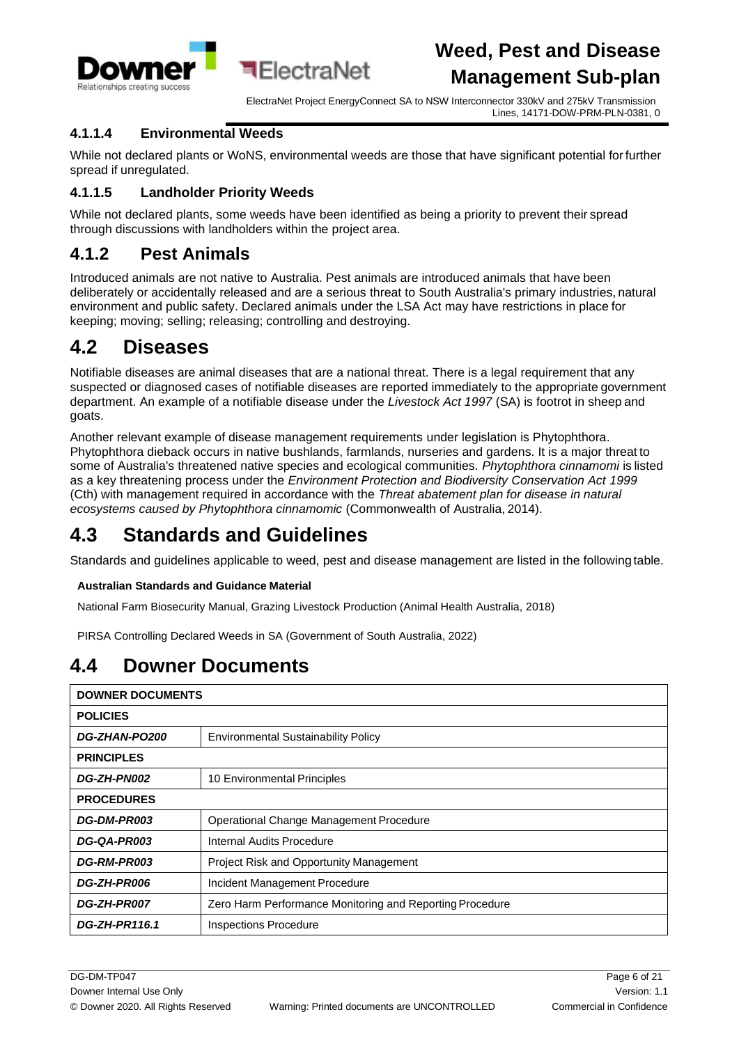

#### **4.1.1.4 Environmental Weeds**

While not declared plants or WoNS, environmental weeds are those that have significant potential forfurther spread if unregulated.

#### **4.1.1.5 Landholder Priority Weeds**

While not declared plants, some weeds have been identified as being a priority to prevent their spread through discussions with landholders within the project area.

#### <span id="page-5-0"></span>**4.1.2 Pest Animals**

Introduced animals are not native to Australia. Pest animals are introduced animals that have been deliberately or accidentally released and are a serious threat to South Australia's primary industries, natural environment and public safety. Declared animals under the LSA Act may have restrictions in place for keeping; moving; selling; releasing; controlling and destroying.

### <span id="page-5-1"></span>**4.2 Diseases**

Notifiable diseases are animal diseases that are a national threat. There is a legal requirement that any suspected or diagnosed cases of notifiable diseases are reported immediately to the appropriate government department. An example of a notifiable disease under the *Livestock Act 1997* (SA) is footrot in sheep and goats.

Another relevant example of disease management requirements under legislation is Phytophthora. Phytophthora dieback occurs in native bushlands, farmlands, nurseries and gardens. It is a major threat to some of Australia's threatened native species and ecological communities. *Phytophthora cinnamomi* is listed as a key threatening process under the *Environment Protection and Biodiversity Conservation Act 1999* (Cth) with management required in accordance with the *Threat abatement plan for disease in natural ecosystems caused by Phytophthora cinnamomic* (Commonwealth of Australia, 2014).

### <span id="page-5-2"></span>**4.3 Standards and Guidelines**

Standards and guidelines applicable to weed, pest and disease management are listed in the following table.

#### **Australian Standards and Guidance Material**

National Farm Biosecurity Manual, Grazing Livestock Production (Animal Health Australia, 2018)

PIRSA Controlling Declared Weeds in SA (Government of South Australia, 2022)

### <span id="page-5-3"></span>**4.4 Downer Documents**

| <b>DOWNER DOCUMENTS</b>                             |                                                          |  |
|-----------------------------------------------------|----------------------------------------------------------|--|
| <b>POLICIES</b>                                     |                                                          |  |
| <b>DG-ZHAN-PO200</b>                                | <b>Environmental Sustainability Policy</b>               |  |
| <b>PRINCIPLES</b>                                   |                                                          |  |
| <b>DG-ZH-PN002</b>                                  | 10 Environmental Principles                              |  |
| <b>PROCEDURES</b>                                   |                                                          |  |
| <b>DG-DM-PR003</b>                                  | Operational Change Management Procedure                  |  |
| DG-QA-PR003                                         | Internal Audits Procedure                                |  |
| <b>DG-RM-PR003</b>                                  | <b>Project Risk and Opportunity Management</b>           |  |
| <b>DG-ZH-PR006</b><br>Incident Management Procedure |                                                          |  |
| <b>DG-ZH-PR007</b>                                  | Zero Harm Performance Monitoring and Reporting Procedure |  |
| DG-ZH-PR116.1                                       | <b>Inspections Procedure</b>                             |  |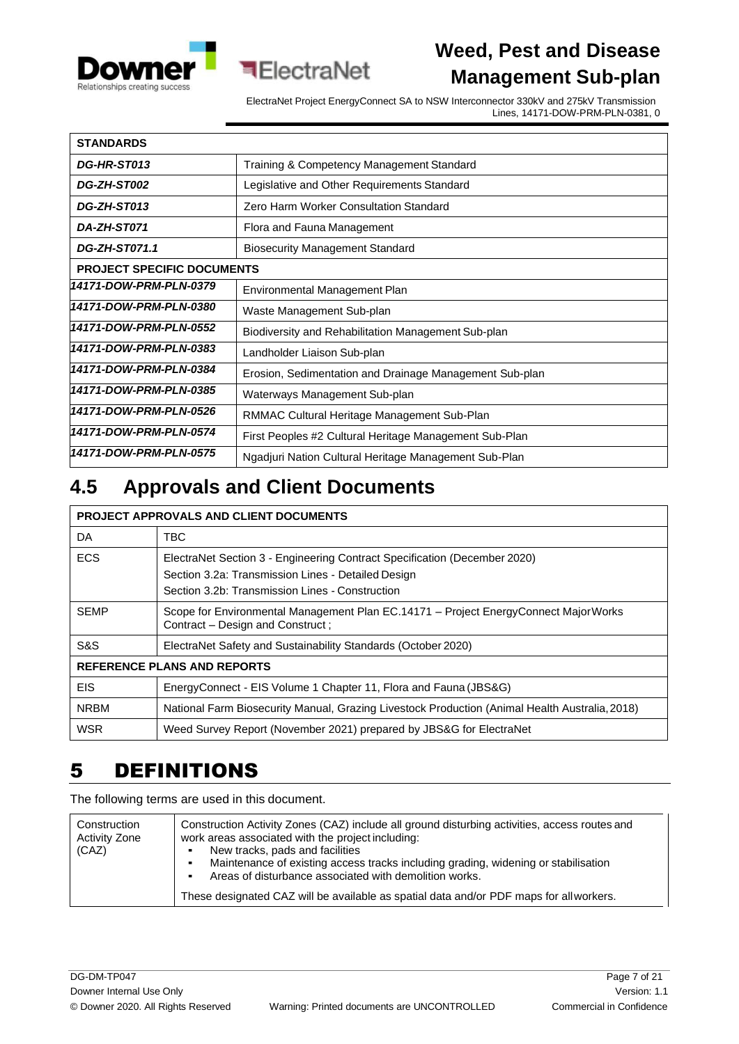



| <b>STANDARDS</b>                  |                                                         |
|-----------------------------------|---------------------------------------------------------|
| DG-HR-ST013                       | Training & Competency Management Standard               |
| <b>DG-ZH-ST002</b>                | Legislative and Other Requirements Standard             |
| DG-ZH-ST013                       | <b>Zero Harm Worker Consultation Standard</b>           |
| DA-ZH-ST071                       | Flora and Fauna Management                              |
| DG-ZH-ST071.1                     | <b>Biosecurity Management Standard</b>                  |
| <b>PROJECT SPECIFIC DOCUMENTS</b> |                                                         |
| 14171-DOW-PRM-PLN-0379            | Environmental Management Plan                           |
| 14171-DOW-PRM-PLN-0380            | Waste Management Sub-plan                               |
| 14171-DOW-PRM-PLN-0552            | Biodiversity and Rehabilitation Management Sub-plan     |
| 14171-DOW-PRM-PLN-0383            | Landholder Liaison Sub-plan                             |
| 14171-DOW-PRM-PLN-0384            | Erosion, Sedimentation and Drainage Management Sub-plan |
| 14171-DOW-PRM-PLN-0385            | Waterways Management Sub-plan                           |
| 14171-DOW-PRM-PLN-0526            | RMMAC Cultural Heritage Management Sub-Plan             |
| 14171-DOW-PRM-PLN-0574            | First Peoples #2 Cultural Heritage Management Sub-Plan  |
| 14171-DOW-PRM-PLN-0575            | Ngadjuri Nation Cultural Heritage Management Sub-Plan   |

**ElectraNet** 

### <span id="page-6-0"></span>**4.5 Approvals and Client Documents**

#### **PROJECT APPROVALS AND CLIENT DOCUMENTS**

| DA.                                | TBC.                                                                                                                            |  |  |
|------------------------------------|---------------------------------------------------------------------------------------------------------------------------------|--|--|
| <b>ECS</b>                         | ElectraNet Section 3 - Engineering Contract Specification (December 2020)<br>Section 3.2a: Transmission Lines - Detailed Design |  |  |
|                                    |                                                                                                                                 |  |  |
|                                    | Section 3.2b: Transmission Lines - Construction                                                                                 |  |  |
| <b>SEMP</b>                        | Scope for Environmental Management Plan EC.14171 - Project EnergyConnect MajorWorks<br>Contract - Design and Construct;         |  |  |
| S&S                                | ElectraNet Safety and Sustainability Standards (October 2020)                                                                   |  |  |
| <b>REFERENCE PLANS AND REPORTS</b> |                                                                                                                                 |  |  |
| <b>EIS</b>                         | EnergyConnect - EIS Volume 1 Chapter 11, Flora and Fauna (JBS&G)                                                                |  |  |
| <b>NRBM</b>                        | National Farm Biosecurity Manual, Grazing Livestock Production (Animal Health Australia, 2018)                                  |  |  |
| <b>WSR</b>                         | Weed Survey Report (November 2021) prepared by JBS&G for ElectraNet                                                             |  |  |

### <span id="page-6-1"></span>5 DEFINITIONS

The following terms are used in this document.

| Construction<br><b>Activity Zone</b><br>(CAZ) | Construction Activity Zones (CAZ) include all ground disturbing activities, access routes and<br>work areas associated with the project including:<br>New tracks, pads and facilities<br>Maintenance of existing access tracks including grading, widening or stabilisation<br>Areas of disturbance associated with demolition works. |
|-----------------------------------------------|---------------------------------------------------------------------------------------------------------------------------------------------------------------------------------------------------------------------------------------------------------------------------------------------------------------------------------------|
|                                               | These designated CAZ will be available as spatial data and/or PDF maps for all workers.                                                                                                                                                                                                                                               |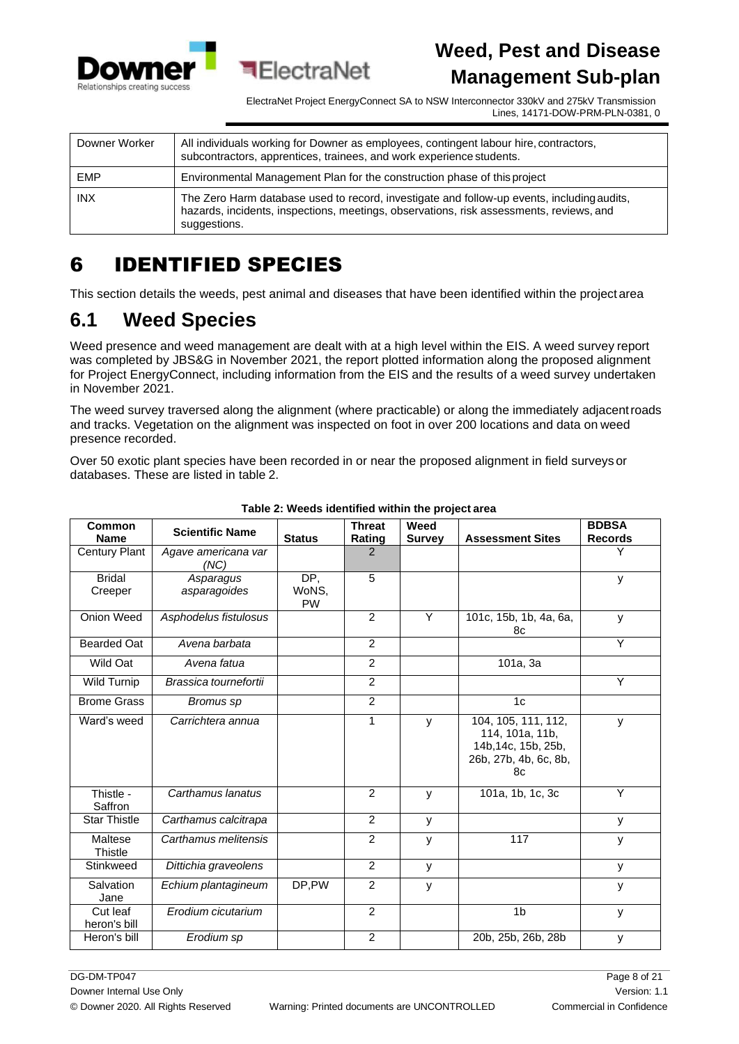

ElectraNet Project EnergyConnect SA to NSW Interconnector 330kV and 275kV Transmission Lines, 14171-DOW-PRM-PLN-0381, 0

| Downer Worker | All individuals working for Downer as employees, contingent labour hire, contractors,<br>subcontractors, apprentices, trainees, and work experience students.                                         |
|---------------|-------------------------------------------------------------------------------------------------------------------------------------------------------------------------------------------------------|
| <b>EMP</b>    | Environmental Management Plan for the construction phase of this project                                                                                                                              |
| <b>INX</b>    | The Zero Harm database used to record, investigate and follow-up events, including audits,<br>hazards, incidents, inspections, meetings, observations, risk assessments, reviews, and<br>suggestions. |

**ElectraNet** 

# <span id="page-7-0"></span>6 IDENTIFIED SPECIES

This section details the weeds, pest animal and diseases that have been identified within the project area

## <span id="page-7-1"></span>**6.1 Weed Species**

Weed presence and weed management are dealt with at a high level within the EIS. A weed survey report was completed by JBS&G in November 2021, the report plotted information along the proposed alignment for Project EnergyConnect, including information from the EIS and the results of a weed survey undertaken in November 2021.

The weed survey traversed along the alignment (where practicable) or along the immediately adjacentroads and tracks. Vegetation on the alignment was inspected on foot in over 200 locations and data on weed presence recorded.

Over 50 exotic plant species have been recorded in or near the proposed alignment in field surveys or databases. These are listed in table 2.

| Common<br><b>Name</b>    | <b>Scientific Name</b>      | <b>Status</b> | <b>Threat</b>  | Weed          |                                                                                              | <b>BDBSA</b>   |
|--------------------------|-----------------------------|---------------|----------------|---------------|----------------------------------------------------------------------------------------------|----------------|
|                          |                             |               | Rating         | <b>Survey</b> | <b>Assessment Sites</b>                                                                      | <b>Records</b> |
| <b>Century Plant</b>     | Agave americana var<br>(NC) |               | 2              |               |                                                                                              | Y              |
| <b>Bridal</b><br>Creeper | Asparagus<br>asparagoides   | DP,<br>WoNS,  | 5              |               |                                                                                              | y              |
|                          |                             | <b>PW</b>     |                |               |                                                                                              |                |
| Onion Weed               | Asphodelus fistulosus       |               | 2              | Y             | 101c, 15b, 1b, 4a, 6a,<br>8c                                                                 | y              |
| Bearded Oat              | Avena barbata               |               | $\overline{2}$ |               |                                                                                              | Y              |
| Wild Oat                 | Avena fatua                 |               | 2              |               | 101a, 3a                                                                                     |                |
| <b>Wild Turnip</b>       | Brassica tournefortii       |               | $\overline{2}$ |               |                                                                                              | Y              |
| <b>Brome Grass</b>       | Bromus sp                   |               | 2              |               | 1 <sub>c</sub>                                                                               |                |
| Ward's weed              | Carrichtera annua           |               | 1              | у             | 104, 105, 111, 112,<br>114, 101a, 11b,<br>14b, 14c, 15b, 25b,<br>26b, 27b, 4b, 6c, 8b,<br>8c | y              |
| Thistle -<br>Saffron     | Carthamus lanatus           |               | 2              | y             | 101a, 1b, 1c, 3c                                                                             | Y              |
| <b>Star Thistle</b>      | Carthamus calcitrapa        |               | 2              | У             |                                                                                              | y              |
| Maltese<br>Thistle       | Carthamus melitensis        |               | 2              | У             | 117                                                                                          | у              |
| Stinkweed                | Dittichia graveolens        |               | 2              | У             |                                                                                              | y              |
| Salvation<br>Jane        | Echium plantagineum         | DP.PW         | $\overline{2}$ | y             |                                                                                              | y              |
| Cut leaf<br>heron's bill | Erodium cicutarium          |               | $\overline{2}$ |               | 1 <sub>b</sub>                                                                               | y              |
| Heron's bill             | Erodium sp                  |               | 2              |               | 20b, 25b, 26b, 28b                                                                           | y              |

#### **Table 2: Weeds identified within the project area**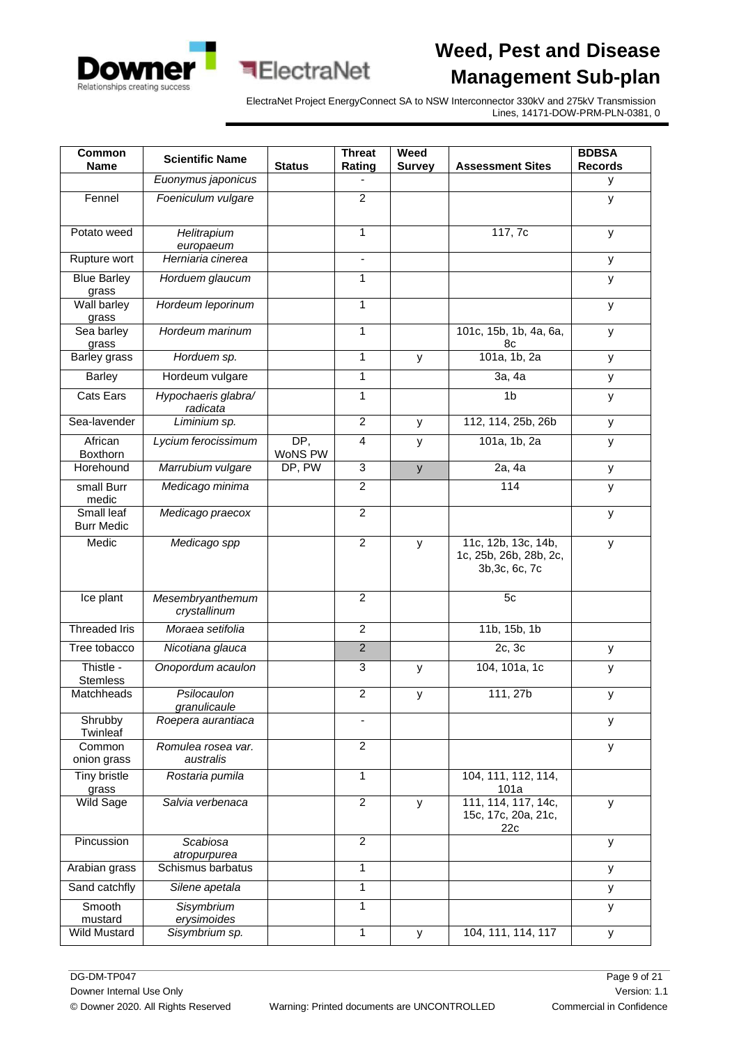



| Common                          | <b>Scientific Name</b>           |                | <b>Threat</b>            | Weed          |                                                                 | <b>BDBSA</b>        |
|---------------------------------|----------------------------------|----------------|--------------------------|---------------|-----------------------------------------------------------------|---------------------|
| <b>Name</b>                     | Euonymus japonicus               | <b>Status</b>  | Rating                   | <b>Survey</b> | <b>Assessment Sites</b>                                         | <b>Records</b><br>У |
|                                 |                                  |                |                          |               |                                                                 |                     |
| Fennel                          | Foeniculum vulgare               |                | $\overline{2}$           |               |                                                                 | у                   |
| Potato weed                     | Helitrapium<br>europaeum         |                | $\mathbf{1}$             |               | 117, 7c                                                         | У                   |
| Rupture wort                    | Herniaria cinerea                |                | $\overline{\phantom{a}}$ |               |                                                                 | у                   |
| <b>Blue Barley</b><br>grass     | Horduem glaucum                  |                | 1                        |               |                                                                 | У                   |
| Wall barley<br>grass            | Hordeum leporinum                |                | 1                        |               |                                                                 | у                   |
| Sea barley<br>grass             | Hordeum marinum                  |                | 1                        |               | 101c, 15b, 1b, 4a, 6a,<br>8c                                    | y                   |
| Barley grass                    | Horduem sp.                      |                | 1                        | y             | 101a, 1b, 2a                                                    | У                   |
| <b>Barley</b>                   | Hordeum vulgare                  |                | 1                        |               | 3a, 4a                                                          | у                   |
| <b>Cats Ears</b>                | Hypochaeris glabra/<br>radicata  |                | 1                        |               | 1 <sub>b</sub>                                                  | У                   |
| Sea-lavender                    | Liminium sp.                     |                | $\overline{2}$           | y             | 112, 114, 25b, 26b                                              | у                   |
| African<br><b>Boxthorn</b>      | Lycium ferocissimum              | DP,<br>WoNS PW | $\overline{4}$           | y             | 101a, 1b, 2a                                                    | у                   |
| Horehound                       | Marrubium vulgare                | DP, PW         | 3                        | y             | 2a, 4a                                                          | у                   |
| small Burr<br>medic             | Medicago minima                  |                | $\overline{2}$           |               | 114                                                             | У                   |
| Small leaf<br><b>Burr Medic</b> | Medicago praecox                 |                | $\overline{c}$           |               |                                                                 | у                   |
| Medic                           | Medicago spp                     |                | $\overline{c}$           | y             | 11c, 12b, 13c, 14b,<br>1c, 25b, 26b, 28b, 2c,<br>3b, 3c, 6c, 7c | у                   |
| Ice plant                       | Mesembryanthemum<br>crystallinum |                | $\overline{2}$           |               | 5c                                                              |                     |
| <b>Threaded Iris</b>            | Moraea setifolia                 |                | $\overline{2}$           |               | 11b, 15b, 1b                                                    |                     |
| Tree tobacco                    | Nicotiana glauca                 |                | $\overline{2}$           |               | 2c, 3c                                                          | у                   |
| Thistle -<br><b>Stemless</b>    | Onopordum acaulon                |                | 3                        | y             | 104, 101a, 1c                                                   | у                   |
| Matchheads                      | Psilocaulon<br>granulicaule      |                | $\overline{2}$           | У             | 111, 27b                                                        | У                   |
| Shrubby<br>Twinleaf             | Roepera aurantiaca               |                |                          |               |                                                                 | y                   |
| Common<br>onion grass           | Romulea rosea var.<br>australis  |                | $\overline{2}$           |               |                                                                 | У                   |
| Tiny bristle<br>grass           | Rostaria pumila                  |                | 1                        |               | 104, 111, 112, 114,<br>101a                                     |                     |
| <b>Wild Sage</b>                | Salvia verbenaca                 |                | $\overline{2}$           | y             | 111, 114, 117, 14c,<br>15c, 17c, 20a, 21c,<br>22c               | у                   |
| Pincussion                      | Scabiosa<br>atropurpurea         |                | $\overline{c}$           |               |                                                                 | y                   |
| Arabian grass                   | Schismus barbatus                |                | 1                        |               |                                                                 | У                   |
| Sand catchfly                   | Silene apetala                   |                | 1                        |               |                                                                 | У                   |
| Smooth<br>mustard               | Sisymbrium<br>erysimoides        |                | 1                        |               |                                                                 | У                   |
| Wild Mustard                    | Sisymbrium sp.                   |                | 1                        | y             | 104, 111, 114, 117                                              | У                   |

**ElectraNet**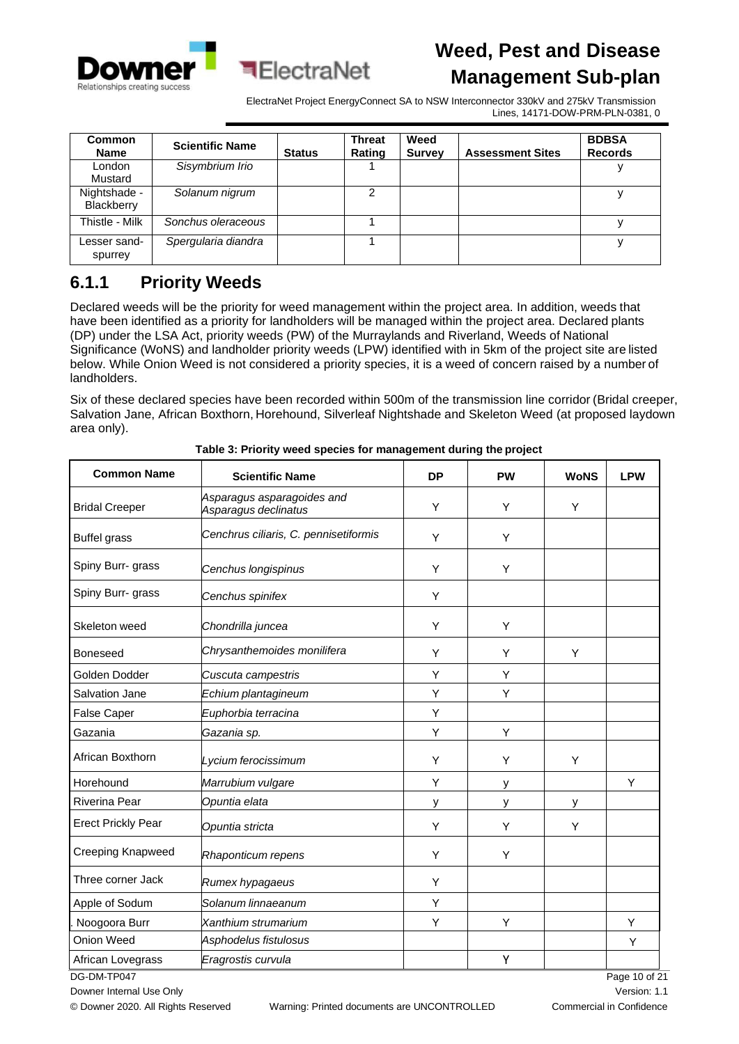



| <b>Common</b><br><b>Name</b> | <b>Scientific Name</b> | <b>Status</b> | <b>Threat</b><br>Rating | Weed<br><b>Survey</b> | <b>Assessment Sites</b> | <b>BDBSA</b><br><b>Records</b> |
|------------------------------|------------------------|---------------|-------------------------|-----------------------|-------------------------|--------------------------------|
| London<br>Mustard            | Sisymbrium Irio        |               |                         |                       |                         |                                |
| Nightshade -<br>Blackberry   | Solanum nigrum         |               | 2                       |                       |                         |                                |
| Thistle - Milk               | Sonchus oleraceous     |               |                         |                       |                         |                                |
| Lesser sand-<br>spurrey      | Spergularia diandra    |               |                         |                       |                         |                                |

**बElectraNet** 

#### <span id="page-9-0"></span>**6.1.1 Priority Weeds**

Declared weeds will be the priority for weed management within the project area. In addition, weeds that have been identified as a priority for landholders will be managed within the project area. Declared plants (DP) under the LSA Act, priority weeds (PW) of the Murraylands and Riverland, Weeds of National Significance (WoNS) and landholder priority weeds (LPW) identified with in 5km of the project site are listed below. While Onion Weed is not considered a priority species, it is a weed of concern raised by a number of landholders.

Six of these declared species have been recorded within 500m of the transmission line corridor (Bridal creeper, Salvation Jane, African Boxthorn, Horehound, Silverleaf Nightshade and Skeleton Weed (at proposed laydown area only).

| <b>Common Name</b>        | <b>DP</b>                                          | <b>PW</b> | <b>WoNS</b> | <b>LPW</b> |             |
|---------------------------|----------------------------------------------------|-----------|-------------|------------|-------------|
| <b>Bridal Creeper</b>     | Asparagus asparagoides and<br>Asparagus declinatus |           | Y           | Y          |             |
| <b>Buffel grass</b>       | Cenchrus ciliaris, C. pennisetiformis              | Y         | Y           |            |             |
| Spiny Burr- grass         | Cenchus longispinus                                | Y         | Υ           |            |             |
| Spiny Burr- grass         | Cenchus spinifex                                   | Y         |             |            |             |
| Skeleton weed             | Chondrilla juncea                                  | Y         | Y           |            |             |
| <b>Boneseed</b>           | Chrysanthemoides monilifera                        | Y         | Y           | Y          |             |
| Golden Dodder             | Cuscuta campestris                                 | Υ         | Y           |            |             |
| Salvation Jane            | Echium plantagineum                                | Υ         | Υ           |            |             |
| <b>False Caper</b>        | Euphorbia terracina                                | Υ         |             |            |             |
| Gazania                   | Gazania sp.                                        | Y         | Y           |            |             |
| African Boxthorn          | Lycium ferocissimum                                | Υ         | Y           | Υ          |             |
| Horehound                 | Marrubium vulgare                                  | Y         | у           |            | Y           |
| Riverina Pear             | Opuntia elata                                      | у         | у           | у          |             |
| <b>Erect Prickly Pear</b> | Opuntia stricta                                    | Y         | Y           | Y          |             |
| <b>Creeping Knapweed</b>  | Rhaponticum repens                                 | Υ         | Y           |            |             |
| Three corner Jack         | Rumex hypagaeus                                    | Y         |             |            |             |
| Apple of Sodum            | Solanum linnaeanum                                 | Y         |             |            |             |
| Noogoora Burr             | Xanthium strumarium                                | Υ         | Υ           |            | Υ           |
| Onion Weed                | Asphodelus fistulosus                              |           |             |            | Υ           |
| African Lovegrass         | Eragrostis curvula                                 |           | Υ           |            |             |
| DG-DM-TP047               |                                                    |           |             |            | Page 10 of: |

**Table 3: Priority weed species for management during the project**

Downer Internal Use Only

© Downer 2020. All Rights Reserved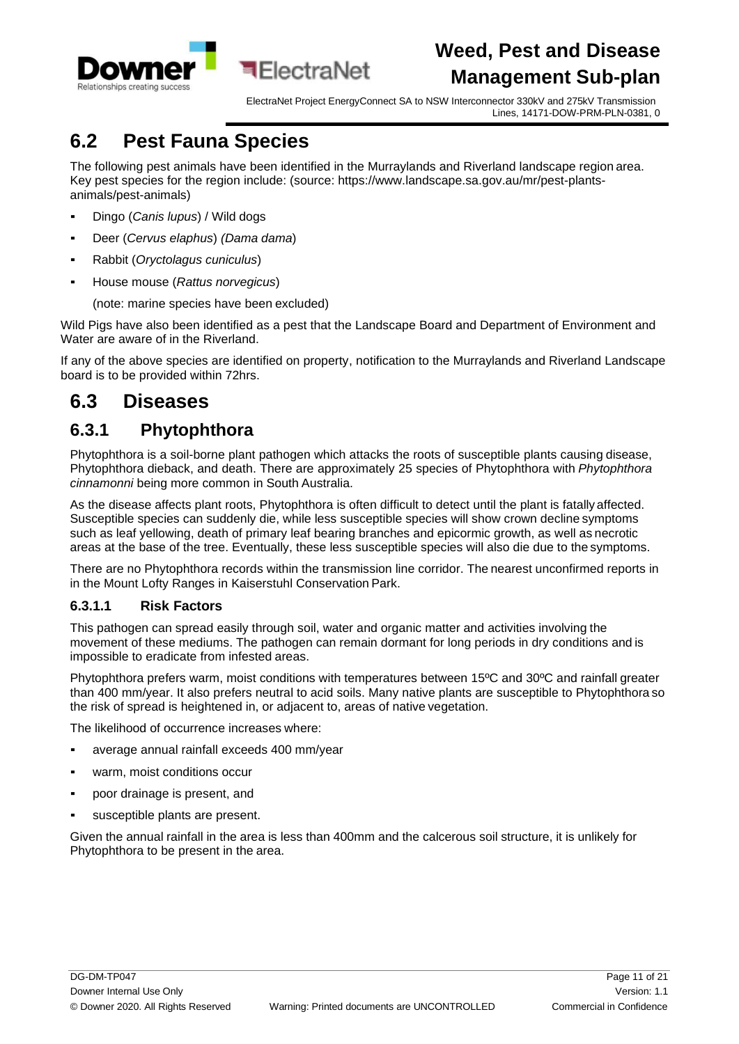

## <span id="page-10-0"></span>**6.2 Pest Fauna Species**

The following pest animals have been identified in the Murraylands and Riverland landscape region area. Key pest species for the region include: (source: https:/[/www.landscape.sa.gov.au/mr/pest-plants](http://www.landscape.sa.gov.au/mr/pest-plants-)animals/pest-animals)

- Dingo (*Canis lupus*) / Wild dogs
- Deer (*Cervus elaphus*) *(Dama dama*)
- Rabbit (*Oryctolagus cuniculus*)
- House mouse (*Rattus norvegicus*)

(note: marine species have been excluded)

Wild Pigs have also been identified as a pest that the Landscape Board and Department of Environment and Water are aware of in the Riverland.

If any of the above species are identified on property, notification to the Murraylands and Riverland Landscape board is to be provided within 72hrs.

### <span id="page-10-1"></span>**6.3 Diseases**

#### <span id="page-10-2"></span>**6.3.1 Phytophthora**

Phytophthora is a soil-borne plant pathogen which attacks the roots of susceptible plants causing disease, Phytophthora dieback, and death. There are approximately 25 species of Phytophthora with *Phytophthora cinnamonni* being more common in South Australia.

As the disease affects plant roots, Phytophthora is often difficult to detect until the plant is fatally affected. Susceptible species can suddenly die, while less susceptible species will show crown decline symptoms such as leaf yellowing, death of primary leaf bearing branches and epicormic growth, as well as necrotic areas at the base of the tree. Eventually, these less susceptible species will also die due to the symptoms.

There are no Phytophthora records within the transmission line corridor. The nearest unconfirmed reports in in the Mount Lofty Ranges in Kaiserstuhl Conservation Park.

#### **6.3.1.1 Risk Factors**

This pathogen can spread easily through soil, water and organic matter and activities involving the movement of these mediums. The pathogen can remain dormant for long periods in dry conditions and is impossible to eradicate from infested areas.

Phytophthora prefers warm, moist conditions with temperatures between 15ºC and 30ºC and rainfall greater than 400 mm/year. It also prefers neutral to acid soils. Many native plants are susceptible to Phytophthora so the risk of spread is heightened in, or adjacent to, areas of native vegetation.

The likelihood of occurrence increases where:

- average annual rainfall exceeds 400 mm/year
- warm, moist conditions occur
- poor drainage is present, and
- susceptible plants are present.

Given the annual rainfall in the area is less than 400mm and the calcerous soil structure, it is unlikely for Phytophthora to be present in the area.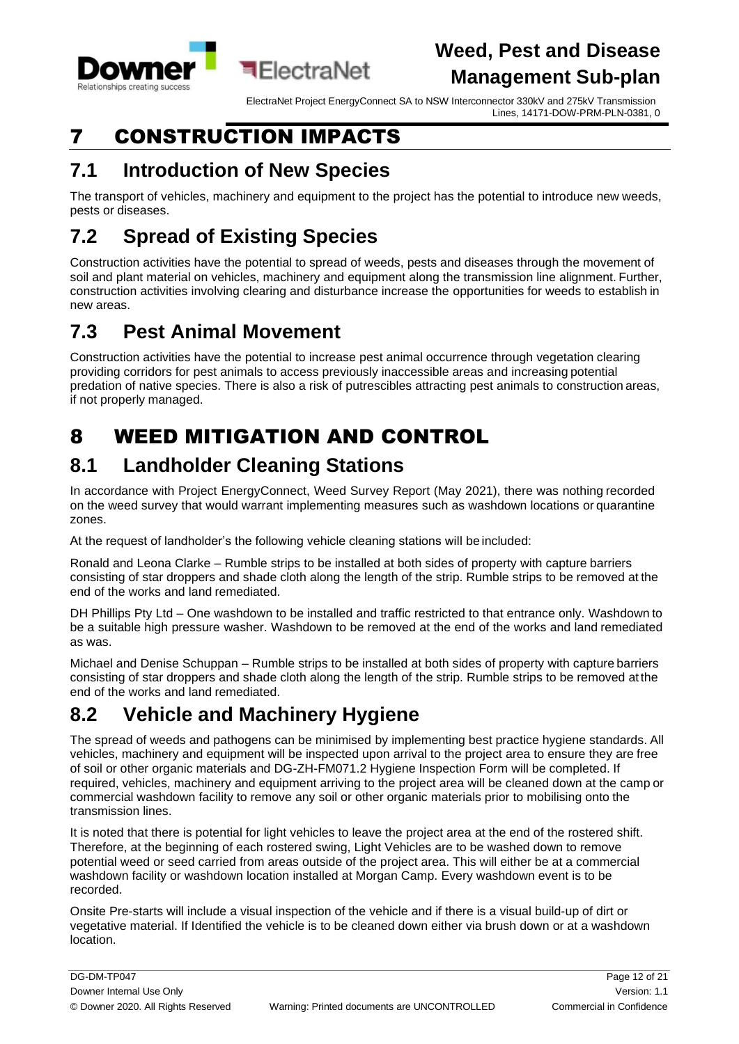

ElectraNet Project EnergyConnect SA to NSW Interconnector 330kV and 275kV Transmission Lines, 14171-DOW-PRM-PLN-0381, 0

# <span id="page-11-0"></span>7 CONSTRUCTION IMPACTS

## <span id="page-11-1"></span>**7.1 Introduction of New Species**

The transport of vehicles, machinery and equipment to the project has the potential to introduce new weeds, pests or diseases.

# <span id="page-11-2"></span>**7.2 Spread of Existing Species**

Construction activities have the potential to spread of weeds, pests and diseases through the movement of soil and plant material on vehicles, machinery and equipment along the transmission line alignment. Further, construction activities involving clearing and disturbance increase the opportunities for weeds to establish in new areas.

# <span id="page-11-3"></span>**7.3 Pest Animal Movement**

Construction activities have the potential to increase pest animal occurrence through vegetation clearing providing corridors for pest animals to access previously inaccessible areas and increasing potential predation of native species. There is also a risk of putrescibles attracting pest animals to construction areas, if not properly managed.

# <span id="page-11-7"></span><span id="page-11-4"></span>8 WEED MITIGATION AND CONTROL

## <span id="page-11-5"></span>**8.1 Landholder Cleaning Stations**

In accordance with Project EnergyConnect, Weed Survey Report (May 2021), there was nothing recorded on the weed survey that would warrant implementing measures such as washdown locations or quarantine zones.

At the request of landholder's the following vehicle cleaning stations will be included:

Ronald and Leona Clarke – Rumble strips to be installed at both sides of property with capture barriers consisting of star droppers and shade cloth along the length of the strip. Rumble strips to be removed at the end of the works and land remediated.

DH Phillips Pty Ltd – One washdown to be installed and traffic restricted to that entrance only. Washdown to be a suitable high pressure washer. Washdown to be removed at the end of the works and land remediated as was.

Michael and Denise Schuppan – Rumble strips to be installed at both sides of property with capture barriers consisting of star droppers and shade cloth along the length of the strip. Rumble strips to be removed atthe end of the works and land remediated.

## <span id="page-11-6"></span>**8.2 Vehicle and Machinery Hygiene**

The spread of weeds and pathogens can be minimised by implementing best practice hygiene standards. All vehicles, machinery and equipment will be inspected upon arrival to the project area to ensure they are free of soil or other organic materials and DG-ZH-FM071.2 Hygiene Inspection Form will be completed. If required, vehicles, machinery and equipment arriving to the project area will be cleaned down at the camp or commercial washdown facility to remove any soil or other organic materials prior to mobilising onto the transmission lines.

It is noted that there is potential for light vehicles to leave the project area at the end of the rostered shift. Therefore, at the beginning of each rostered swing, Light Vehicles are to be washed down to remove potential weed or seed carried from areas outside of the project area. This will either be at a commercial washdown facility or washdown location installed at Morgan Camp. Every washdown event is to be recorded.

Onsite Pre-starts will include a visual inspection of the vehicle and if there is a visual build-up of dirt or vegetative material. If Identified the vehicle is to be cleaned down either via brush down or at a washdown location.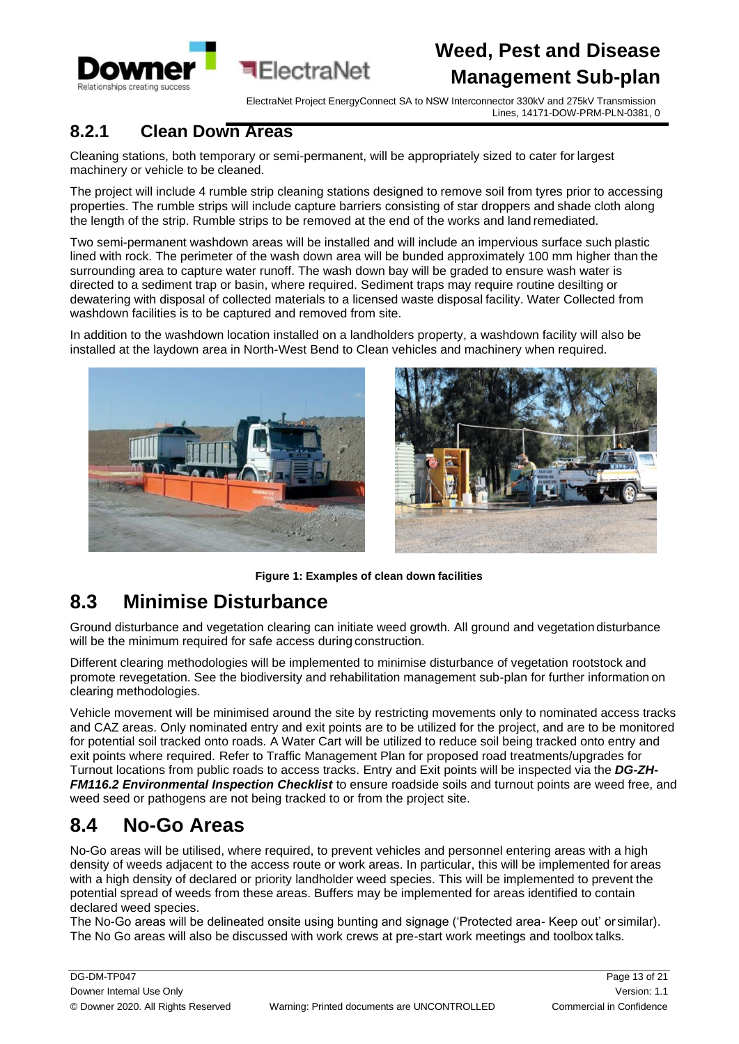

ElectraNet Project EnergyConnect SA to NSW Interconnector 330kV and 275kV Transmission Lines, 14171-DOW-PRM-PLN-0381, 0

#### <span id="page-12-0"></span>**8.2.1 Clean Down Areas**

Cleaning stations, both temporary or semi-permanent, will be appropriately sized to cater for largest machinery or vehicle to be cleaned.

The project will include 4 rumble strip cleaning stations designed to remove soil from tyres prior to accessing properties. The rumble strips will include capture barriers consisting of star droppers and shade cloth along the length of the strip. Rumble strips to be removed at the end of the works and land remediated.

<span id="page-12-3"></span>Two semi-permanent washdown areas will be installed and will include an impervious surface such plastic lined with rock. The perimeter of the wash down area will be bunded approximately 100 mm higher than the surrounding area to capture water runoff. The wash down bay will be graded to ensure wash water is directed to a sediment trap or basin, where required. Sediment traps may require routine desilting or dewatering with disposal of collected materials to a licensed waste disposal facility. Water Collected from washdown facilities is to be captured and removed from site.

In addition to the washdown location installed on a landholders property, a washdown facility will also be installed at the laydown area in North-West Bend to Clean vehicles and machinery when required.





**Figure 1: Examples of clean down facilities**

#### <span id="page-12-1"></span>**8.3 Minimise Disturbance**

Ground disturbance and vegetation clearing can initiate weed growth. All ground and vegetation disturbance will be the minimum required for safe access during construction.

Different clearing methodologies will be implemented to minimise disturbance of vegetation rootstock and promote revegetation. See the biodiversity and rehabilitation management sub-plan for further information on clearing methodologies.

Vehicle movement will be minimised around the site by restricting movements only to nominated access tracks and CAZ areas. Only nominated entry and exit points are to be utilized for the project, and are to be monitored for potential soil tracked onto roads. A Water Cart will be utilized to reduce soil being tracked onto entry and exit points where required. Refer to Traffic Management Plan for proposed road treatments/upgrades for Turnout locations from public roads to access tracks. Entry and Exit points will be inspected via the *DG-ZH-FM116.2 Environmental Inspection Checklist* to ensure roadside soils and turnout points are weed free, and weed seed or pathogens are not being tracked to or from the project site.

### <span id="page-12-2"></span>**8.4 No-Go Areas**

No-Go areas will be utilised, where required, to prevent vehicles and personnel entering areas with a high density of weeds adjacent to the access route or work areas. In particular, this will be implemented for areas with a high density of declared or priority landholder weed species. This will be implemented to prevent the potential spread of weeds from these areas. Buffers may be implemented for areas identified to contain declared weed species.

The No-Go areas will be delineated onsite using bunting and signage ('Protected area- Keep out' or similar). The No Go areas will also be discussed with work crews at pre-start work meetings and toolbox talks.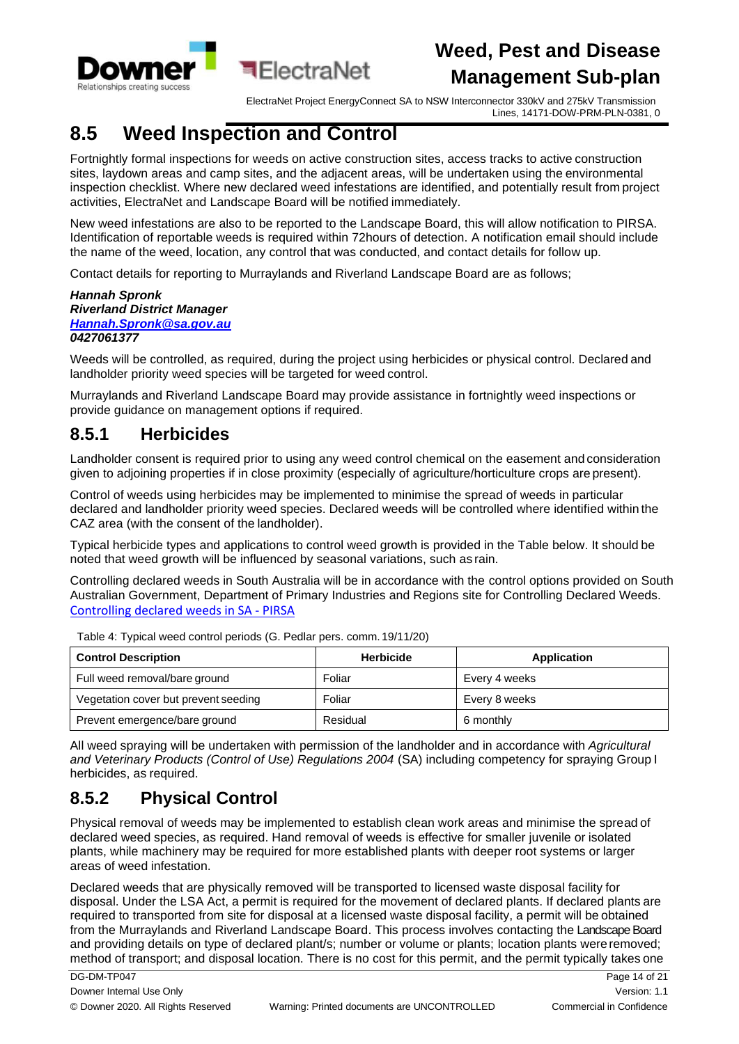

ElectraNet Project EnergyConnect SA to NSW Interconnector 330kV and 275kV Transmission Lines, 14171-DOW-PRM-PLN-0381, 0

### <span id="page-13-0"></span>**8.5 Weed Inspection and Control**

Fortnightly formal inspections for weeds on active construction sites, access tracks to active construction sites, laydown areas and camp sites, and the adjacent areas, will be undertaken using the environmental inspection checklist. Where new declared weed infestations are identified, and potentially result from project activities, ElectraNet and Landscape Board will be notified immediately.

New weed infestations are also to be reported to the Landscape Board, this will allow notification to PIRSA. Identification of reportable weeds is required within 72hours of detection. A notification email should include the name of the weed, location, any control that was conducted, and contact details for follow up.

Contact details for reporting to Murraylands and Riverland Landscape Board are as follows;

#### *Hannah Spronk Riverland District Manager [Hannah.Spronk@sa.gov.au](mailto:Hannah.Spronk@sa.gov.au) 0427061377*

Weeds will be controlled, as required, during the project using herbicides or physical control. Declared and landholder priority weed species will be targeted for weed control.

Murraylands and Riverland Landscape Board may provide assistance in fortnightly weed inspections or provide guidance on management options if required.

#### <span id="page-13-1"></span>**8.5.1 Herbicides**

Landholder consent is required prior to using any weed control chemical on the easement and consideration given to adjoining properties if in close proximity (especially of agriculture/horticulture crops are present).

<span id="page-13-3"></span>Control of weeds using herbicides may be implemented to minimise the spread of weeds in particular declared and landholder priority weed species. Declared weeds will be controlled where identified within the CAZ area (with the consent of the landholder).

Typical herbicide types and applications to control weed growth is provided in the Table below. It should be noted that weed growth will be influenced by seasonal variations, such as rain.

Controlling declared weeds in South Australia will be in accordance with the control options provided on South Australian Government, Department of Primary Industries and Regions site for Controlling Declared Weeds. [Controlling declared weeds in SA -](https://pir.sa.gov.au/biosecurity/weeds/controlling-weeds) PIRSA

| <b>Control Description</b>           | <b>Herbicide</b> | Application   |
|--------------------------------------|------------------|---------------|
| Full weed removal/bare ground        | Foliar           | Every 4 weeks |
| Vegetation cover but prevent seeding | Foliar           | Every 8 weeks |
| Prevent emergence/bare ground        | Residual         | 6 monthly     |

Table 4: Typical weed control periods (G. Pedlar pers. comm.19/11/20)

All weed spraying will be undertaken with permission of the landholder and in accordance with *Agricultural* and Veterinary Products (Control of Use) Regulations 2004 (SA) including competency for spraying Group I herbicides, as required.

### <span id="page-13-2"></span>**8.5.2 Physical Control**

Physical removal of weeds may be implemented to establish clean work areas and minimise the spread of declared weed species, as required. Hand removal of weeds is effective for smaller juvenile or isolated plants, while machinery may be required for more established plants with deeper root systems or larger areas of weed infestation.

Declared weeds that are physically removed will be transported to licensed waste disposal facility for disposal. Under the LSA Act, a permit is required for the movement of declared plants. If declared plants are required to transported from site for disposal at a licensed waste disposal facility, a permit will be obtained from the Murraylands and Riverland Landscape Board. This process involves contacting the Landscape Board and providing details on type of declared plant/s; number or volume or plants; location plants were removed; method of transport; and disposal location. There is no cost for this permit, and the permit typically takes one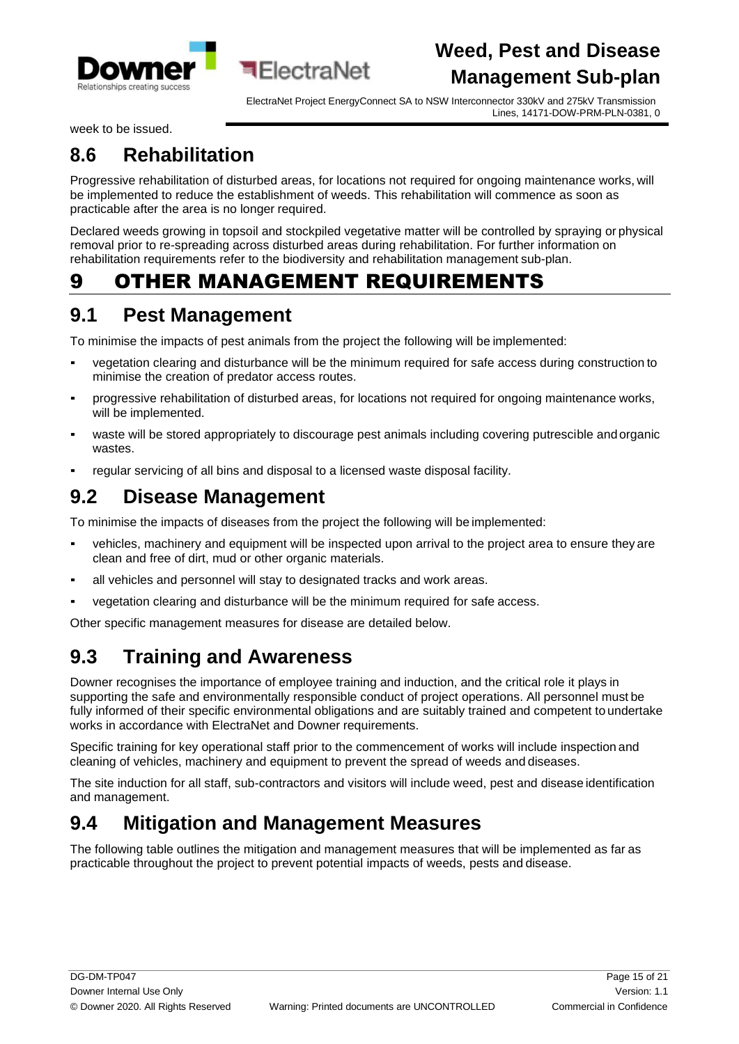



week to be issued.

### <span id="page-14-0"></span>**8.6 Rehabilitation**

Progressive rehabilitation of disturbed areas, for locations not required for ongoing maintenance works, will be implemented to reduce the establishment of weeds. This rehabilitation will commence as soon as practicable after the area is no longer required.

Declared weeds growing in topsoil and stockpiled vegetative matter will be controlled by spraying or physical removal prior to re-spreading across disturbed areas during rehabilitation. For further information on rehabilitation requirements refer to the biodiversity and rehabilitation management sub-plan.

## <span id="page-14-1"></span>9 OTHER MANAGEMENT REQUIREMENTS

¶FlectraNet

### <span id="page-14-2"></span>**9.1 Pest Management**

To minimise the impacts of pest animals from the project the following will be implemented:

- vegetation clearing and disturbance will be the minimum required for safe access during construction to minimise the creation of predator access routes.
- progressive rehabilitation of disturbed areas, for locations not required for ongoing maintenance works, will be implemented.
- waste will be stored appropriately to discourage pest animals including covering putrescible and organic wastes.
- regular servicing of all bins and disposal to a licensed waste disposal facility.

### <span id="page-14-3"></span>**9.2 Disease Management**

To minimise the impacts of diseases from the project the following will be implemented:

- vehicles, machinery and equipment will be inspected upon arrival to the project area to ensure they are clean and free of dirt, mud or other organic materials.
- all vehicles and personnel will stay to designated tracks and work areas.
- vegetation clearing and disturbance will be the minimum required for safe access.

Other specific management measures for disease are detailed below.

### <span id="page-14-4"></span>**9.3 Training and Awareness**

Downer recognises the importance of employee training and induction, and the critical role it plays in supporting the safe and environmentally responsible conduct of project operations. All personnel must be fully informed of their specific environmental obligations and are suitably trained and competent to undertake works in accordance with ElectraNet and Downer requirements.

Specific training for key operational staff prior to the commencement of works will include inspection and cleaning of vehicles, machinery and equipment to prevent the spread of weeds and diseases.

The site induction for all staff, sub-contractors and visitors will include weed, pest and disease identification and management.

## <span id="page-14-5"></span>**9.4 Mitigation and Management Measures**

The following table outlines the mitigation and management measures that will be implemented as far as practicable throughout the project to prevent potential impacts of weeds, pests and disease.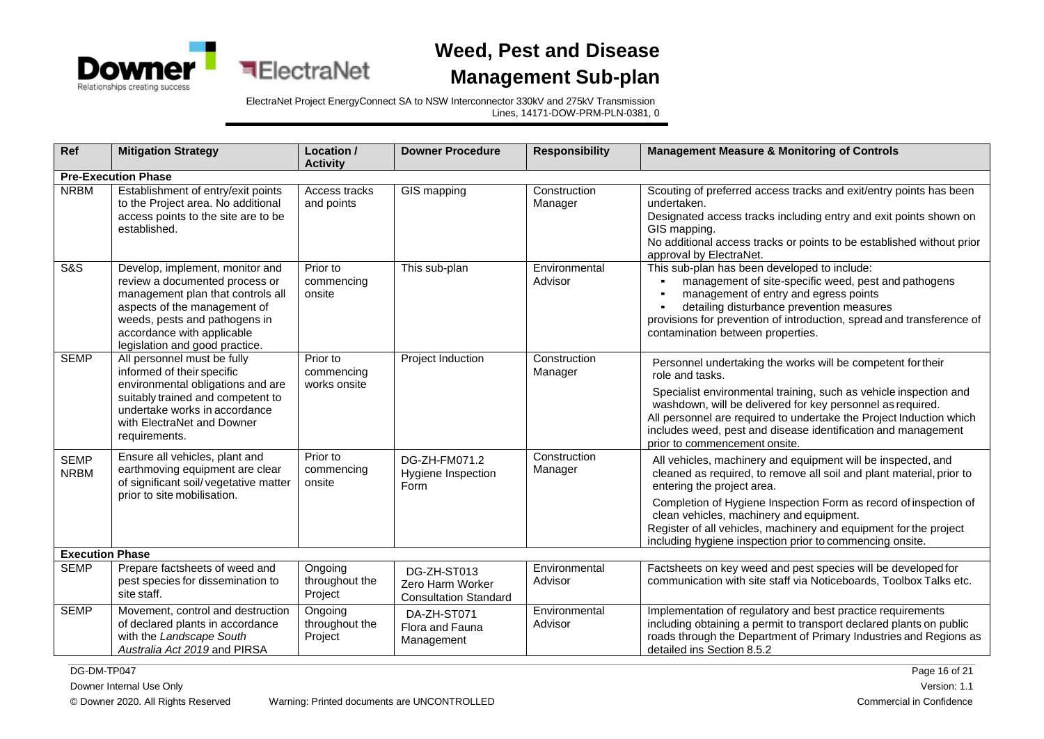

**ElectraNet** 



ElectraNet Project EnergyConnect SA to NSW Interconnector 330kV and 275kV Transmission Lines, 14171-DOW-PRM-PLN-0381, 0

| Ref                        | <b>Mitigation Strategy</b>                                                                                                                                                                                                              | Location /<br><b>Activity</b>          | <b>Downer Procedure</b>                                         | <b>Responsibility</b>    | <b>Management Measure &amp; Monitoring of Controls</b>                                                                                                                                                                                                                                                                                                                                                              |
|----------------------------|-----------------------------------------------------------------------------------------------------------------------------------------------------------------------------------------------------------------------------------------|----------------------------------------|-----------------------------------------------------------------|--------------------------|---------------------------------------------------------------------------------------------------------------------------------------------------------------------------------------------------------------------------------------------------------------------------------------------------------------------------------------------------------------------------------------------------------------------|
|                            | <b>Pre-Execution Phase</b>                                                                                                                                                                                                              |                                        |                                                                 |                          |                                                                                                                                                                                                                                                                                                                                                                                                                     |
| <b>NRBM</b>                | Establishment of entry/exit points<br>to the Project area. No additional<br>access points to the site are to be<br>established.                                                                                                         | Access tracks<br>and points            | GIS mapping                                                     | Construction<br>Manager  | Scouting of preferred access tracks and exit/entry points has been<br>undertaken.<br>Designated access tracks including entry and exit points shown on<br>GIS mapping.<br>No additional access tracks or points to be established without prior<br>approval by ElectraNet.                                                                                                                                          |
| <b>S&amp;S</b>             | Develop, implement, monitor and<br>review a documented process or<br>management plan that controls all<br>aspects of the management of<br>weeds, pests and pathogens in<br>accordance with applicable<br>legislation and good practice. | Prior to<br>commencing<br>onsite       | This sub-plan                                                   | Environmental<br>Advisor | This sub-plan has been developed to include:<br>management of site-specific weed, pest and pathogens<br>management of entry and egress points<br>detailing disturbance prevention measures<br>provisions for prevention of introduction, spread and transference of<br>contamination between properties.                                                                                                            |
| <b>SEMP</b>                | All personnel must be fully<br>informed of their specific<br>environmental obligations and are<br>suitably trained and competent to<br>undertake works in accordance<br>with ElectraNet and Downer<br>requirements.                     | Prior to<br>commencing<br>works onsite | Project Induction                                               | Construction<br>Manager  | Personnel undertaking the works will be competent for their<br>role and tasks.<br>Specialist environmental training, such as vehicle inspection and<br>washdown, will be delivered for key personnel as required.<br>All personnel are required to undertake the Project Induction which<br>includes weed, pest and disease identification and management<br>prior to commencement onsite.                          |
| <b>SEMP</b><br><b>NRBM</b> | Ensure all vehicles, plant and<br>earthmoving equipment are clear<br>of significant soil/vegetative matter<br>prior to site mobilisation.                                                                                               | Prior to<br>commencing<br>onsite       | DG-ZH-FM071.2<br>Hygiene Inspection<br>Form                     | Construction<br>Manager  | All vehicles, machinery and equipment will be inspected, and<br>cleaned as required, to remove all soil and plant material, prior to<br>entering the project area.<br>Completion of Hygiene Inspection Form as record of inspection of<br>clean vehicles, machinery and equipment.<br>Register of all vehicles, machinery and equipment for the project<br>including hygiene inspection prior to commencing onsite. |
| <b>Execution Phase</b>     |                                                                                                                                                                                                                                         |                                        |                                                                 |                          |                                                                                                                                                                                                                                                                                                                                                                                                                     |
| <b>SEMP</b>                | Prepare factsheets of weed and<br>pest species for dissemination to<br>site staff.                                                                                                                                                      | Ongoing<br>throughout the<br>Project   | DG-ZH-ST013<br>Zero Harm Worker<br><b>Consultation Standard</b> | Environmental<br>Advisor | Factsheets on key weed and pest species will be developed for<br>communication with site staff via Noticeboards, Toolbox Talks etc.                                                                                                                                                                                                                                                                                 |
| <b>SEMP</b>                | Movement, control and destruction<br>of declared plants in accordance<br>with the Landscape South<br>Australia Act 2019 and PIRSA                                                                                                       | Ongoing<br>throughout the<br>Project   | DA-ZH-ST071<br>Flora and Fauna<br>Management                    | Environmental<br>Advisor | Implementation of regulatory and best practice requirements<br>including obtaining a permit to transport declared plants on public<br>roads through the Department of Primary Industries and Regions as<br>detailed ins Section 8.5.2                                                                                                                                                                               |

DG-DM-TP047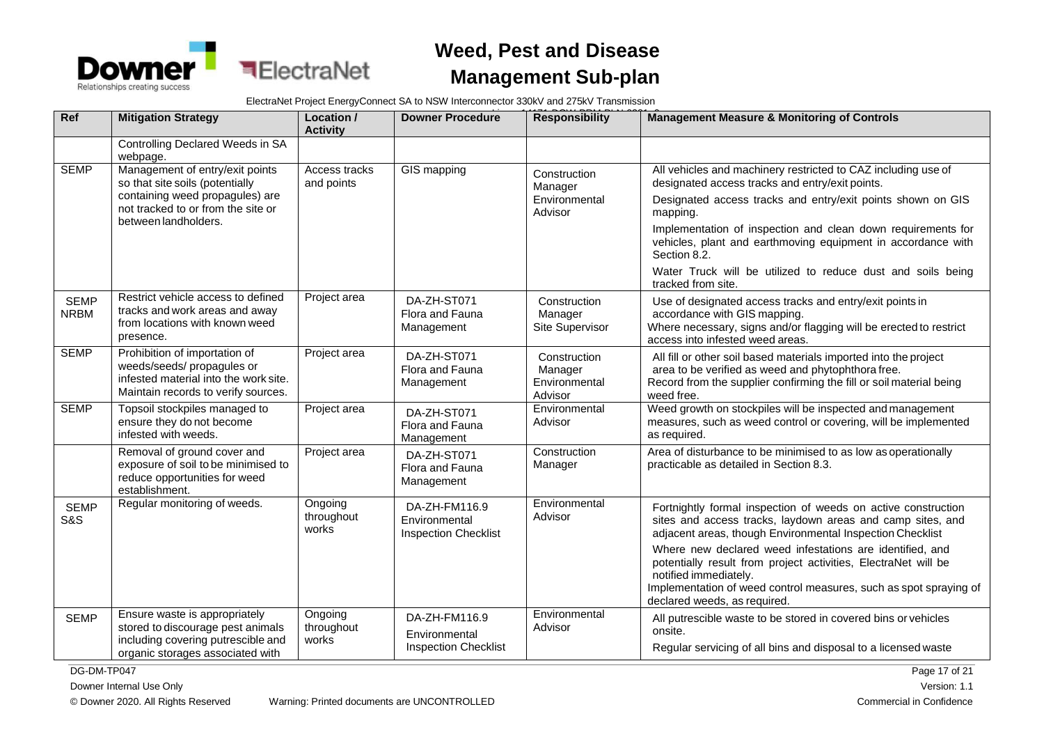

ElectraNet Project EnergyConnect SA to NSW Interconnector 330kV and 275kV Transmission

| Ref                           | <b>Mitigation Strategy</b>                                                                                                                                          | Location /<br><b>Activity</b>  | <b>Downer Procedure</b>                                       | <b>Responsibility</b>                               | <b>Management Measure &amp; Monitoring of Controls</b>                                                                                                                                                                                                   |
|-------------------------------|---------------------------------------------------------------------------------------------------------------------------------------------------------------------|--------------------------------|---------------------------------------------------------------|-----------------------------------------------------|----------------------------------------------------------------------------------------------------------------------------------------------------------------------------------------------------------------------------------------------------------|
|                               | Controlling Declared Weeds in SA<br>webpage.                                                                                                                        |                                |                                                               |                                                     |                                                                                                                                                                                                                                                          |
| <b>SEMP</b>                   | Management of entry/exit points<br>so that site soils (potentially<br>containing weed propagules) are<br>not tracked to or from the site or<br>between landholders. | Access tracks<br>and points    | GIS mapping                                                   | Construction<br>Manager<br>Environmental<br>Advisor | All vehicles and machinery restricted to CAZ including use of<br>designated access tracks and entry/exit points.<br>Designated access tracks and entry/exit points shown on GIS<br>mapping.                                                              |
|                               |                                                                                                                                                                     |                                |                                                               |                                                     | Implementation of inspection and clean down requirements for<br>vehicles, plant and earthmoving equipment in accordance with<br>Section 8.2.                                                                                                             |
|                               |                                                                                                                                                                     |                                |                                                               |                                                     | Water Truck will be utilized to reduce dust and soils being<br>tracked from site.                                                                                                                                                                        |
| <b>SEMP</b><br><b>NRBM</b>    | Restrict vehicle access to defined<br>tracks and work areas and away<br>from locations with known weed<br>presence.                                                 | Project area                   | DA-ZH-ST071<br>Flora and Fauna<br>Management                  | Construction<br>Manager<br>Site Supervisor          | Use of designated access tracks and entry/exit points in<br>accordance with GIS mapping.<br>Where necessary, signs and/or flagging will be erected to restrict<br>access into infested weed areas.                                                       |
| <b>SEMP</b>                   | Prohibition of importation of<br>weeds/seeds/ propagules or<br>infested material into the work site.<br>Maintain records to verify sources.                         | Project area                   | DA-ZH-ST071<br>Flora and Fauna<br>Management                  | Construction<br>Manager<br>Environmental<br>Advisor | All fill or other soil based materials imported into the project<br>area to be verified as weed and phytophthora free.<br>Record from the supplier confirming the fill or soil material being<br>weed free.                                              |
| <b>SEMP</b>                   | Topsoil stockpiles managed to<br>ensure they do not become<br>infested with weeds.                                                                                  | Project area                   | DA-ZH-ST071<br>Flora and Fauna<br>Management                  | Environmental<br>Advisor                            | Weed growth on stockpiles will be inspected and management<br>measures, such as weed control or covering, will be implemented<br>as required.                                                                                                            |
|                               | Removal of ground cover and<br>exposure of soil to be minimised to<br>reduce opportunities for weed<br>establishment.                                               | Project area                   | DA-ZH-ST071<br>Flora and Fauna<br>Management                  | Construction<br>Manager                             | Area of disturbance to be minimised to as low as operationally<br>practicable as detailed in Section 8.3.                                                                                                                                                |
| <b>SEMP</b><br><b>S&amp;S</b> | Regular monitoring of weeds.                                                                                                                                        | Ongoing<br>throughout<br>works | DA-ZH-FM116.9<br>Environmental<br><b>Inspection Checklist</b> | Environmental<br>Advisor                            | Fortnightly formal inspection of weeds on active construction<br>sites and access tracks, laydown areas and camp sites, and<br>adjacent areas, though Environmental Inspection Checklist                                                                 |
|                               |                                                                                                                                                                     |                                |                                                               |                                                     | Where new declared weed infestations are identified, and<br>potentially result from project activities, ElectraNet will be<br>notified immediately.<br>Implementation of weed control measures, such as spot spraying of<br>declared weeds, as required. |
| <b>SEMP</b>                   | Ensure waste is appropriately<br>stored to discourage pest animals<br>including covering putrescible and<br>organic storages associated with                        | Ongoing<br>throughout<br>works | DA-ZH-FM116.9<br>Environmental<br><b>Inspection Checklist</b> | Environmental<br>Advisor                            | All putrescible waste to be stored in covered bins or vehicles<br>onsite.<br>Regular servicing of all bins and disposal to a licensed waste                                                                                                              |

DG-DM-TP047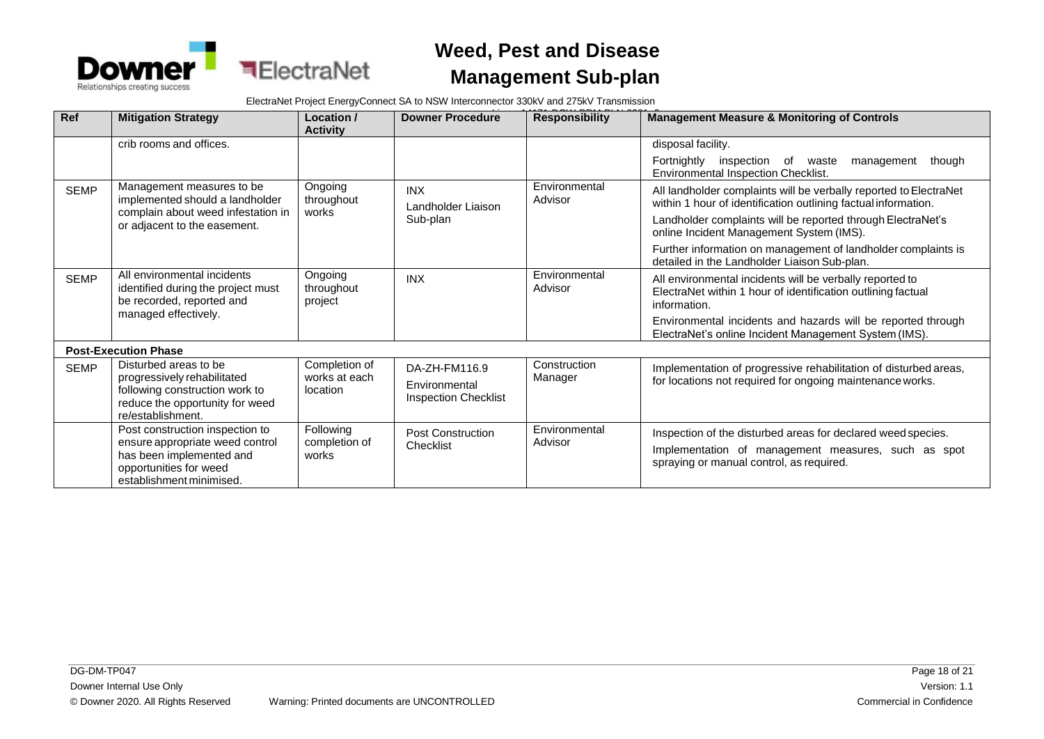

ElectraNet Project EnergyConnect SA to NSW Interconnector 330kV and 275kV Transmission

| Ref         | <b>Mitigation Strategy</b>                                                                                                                           | Location /<br><b>Activity</b>              | <b>Downer Procedure</b>                                       | <b>Responsibility</b>    | <b>Management Measure &amp; Monitoring of Controls</b>                                                                                                          |
|-------------|------------------------------------------------------------------------------------------------------------------------------------------------------|--------------------------------------------|---------------------------------------------------------------|--------------------------|-----------------------------------------------------------------------------------------------------------------------------------------------------------------|
|             | crib rooms and offices.                                                                                                                              |                                            |                                                               |                          | disposal facility.                                                                                                                                              |
|             |                                                                                                                                                      |                                            |                                                               |                          | Fortnightly<br>inspection of waste<br>though<br>management<br>Environmental Inspection Checklist.                                                               |
| <b>SEMP</b> | Management measures to be<br>implemented should a landholder                                                                                         | Ongoing<br>throughout                      | <b>INX</b><br>Landholder Liaison                              | Environmental<br>Advisor | All landholder complaints will be verbally reported to ElectraNet<br>within 1 hour of identification outlining factual information.                             |
|             | complain about weed infestation in<br>or adjacent to the easement.                                                                                   | works                                      | Sub-plan                                                      |                          | Landholder complaints will be reported through ElectraNet's<br>online Incident Management System (IMS).                                                         |
|             |                                                                                                                                                      |                                            |                                                               |                          | Further information on management of landholder complaints is<br>detailed in the Landholder Liaison Sub-plan.                                                   |
| <b>SEMP</b> | All environmental incidents<br>identified during the project must<br>be recorded, reported and                                                       | Ongoing<br>throughout<br>project           | <b>INX</b>                                                    | Environmental<br>Advisor | All environmental incidents will be verbally reported to<br>ElectraNet within 1 hour of identification outlining factual<br>information.                        |
|             | managed effectively.                                                                                                                                 |                                            |                                                               |                          | Environmental incidents and hazards will be reported through<br>ElectraNet's online Incident Management System (IMS).                                           |
|             | <b>Post-Execution Phase</b>                                                                                                                          |                                            |                                                               |                          |                                                                                                                                                                 |
| <b>SEMP</b> | Disturbed areas to be<br>progressively rehabilitated<br>following construction work to<br>reduce the opportunity for weed<br>re/establishment.       | Completion of<br>works at each<br>location | DA-ZH-FM116.9<br>Environmental<br><b>Inspection Checklist</b> | Construction<br>Manager  | Implementation of progressive rehabilitation of disturbed areas,<br>for locations not required for ongoing maintenance works.                                   |
|             | Post construction inspection to<br>ensure appropriate weed control<br>has been implemented and<br>opportunities for weed<br>establishment minimised. | Following<br>completion of<br>works        | <b>Post Construction</b><br>Checklist                         | Environmental<br>Advisor | Inspection of the disturbed areas for declared weed species.<br>Implementation of management measures, such as spot<br>spraying or manual control, as required. |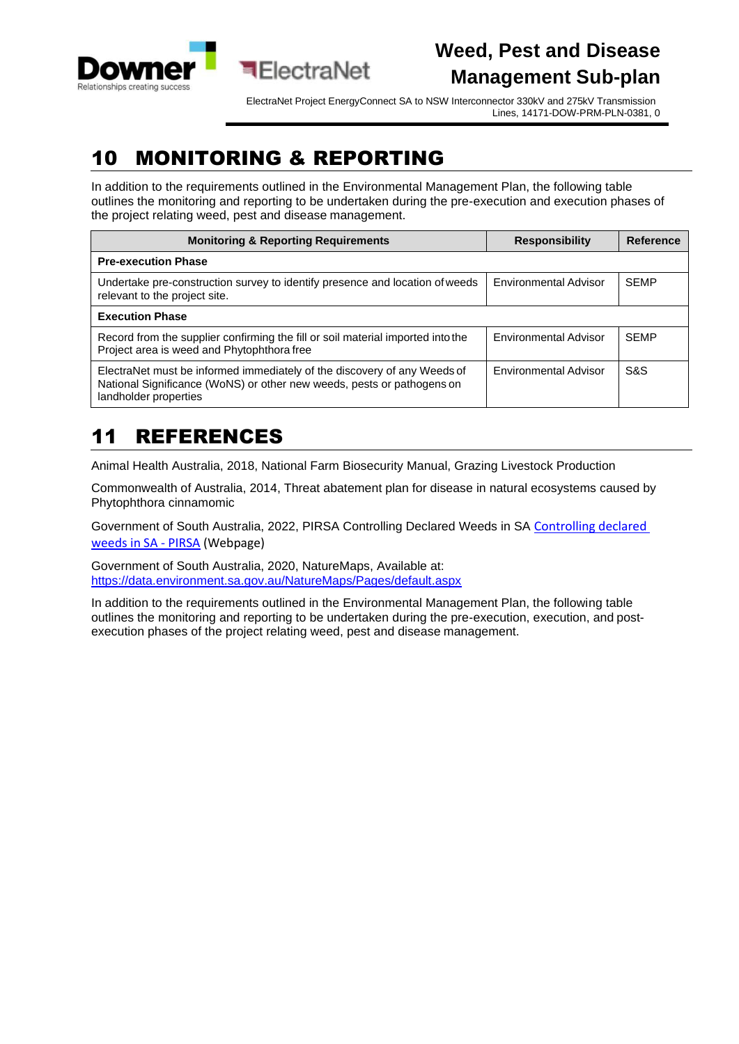<span id="page-18-0"></span>

ElectraNet Project EnergyConnect SA to NSW Interconnector 330kV and 275kV Transmission Lines, 14171-DOW-PRM-PLN-0381, 0

## 10 MONITORING & REPORTING

In addition to the requirements outlined in the Environmental Management Plan, the following table outlines the monitoring and reporting to be undertaken during the pre-execution and execution phases of the project relating weed, pest and disease management.

| <b>Monitoring &amp; Reporting Requirements</b>                                                                                                                              | <b>Responsibility</b> | Reference   |
|-----------------------------------------------------------------------------------------------------------------------------------------------------------------------------|-----------------------|-------------|
| <b>Pre-execution Phase</b>                                                                                                                                                  |                       |             |
| Undertake pre-construction survey to identify presence and location of weeds<br>relevant to the project site.                                                               | Environmental Advisor | <b>SEMP</b> |
| <b>Execution Phase</b>                                                                                                                                                      |                       |             |
| Record from the supplier confirming the fill or soil material imported into the<br>Project area is weed and Phytophthora free                                               | Environmental Advisor | <b>SEMP</b> |
| ElectraNet must be informed immediately of the discovery of any Weeds of<br>National Significance (WoNS) or other new weeds, pests or pathogens on<br>landholder properties | Environmental Advisor | S&S         |

# 11 REFERENCES

Animal Health Australia, 2018, National Farm Biosecurity Manual, Grazing Livestock Production

Commonwealth of Australia, 2014, Threat abatement plan for disease in natural ecosystems caused by Phytophthora cinnamomic

Government of South Australia, 2022, PIRSA Controlling Declared Weeds in SA [Controlling declared](https://pir.sa.gov.au/biosecurity/weeds/controlling-weeds)  [weeds in SA -](https://pir.sa.gov.au/biosecurity/weeds/controlling-weeds) PIRSA (Webpage)

Government of South Australia, 2020, NatureMaps, Available at: <https://data.environment.sa.gov.au/NatureMaps/Pages/default.aspx>

In addition to the requirements outlined in the Environmental Management Plan, the following table outlines the monitoring and reporting to be undertaken during the pre-execution, execution, and postexecution phases of the project relating weed, pest and disease management.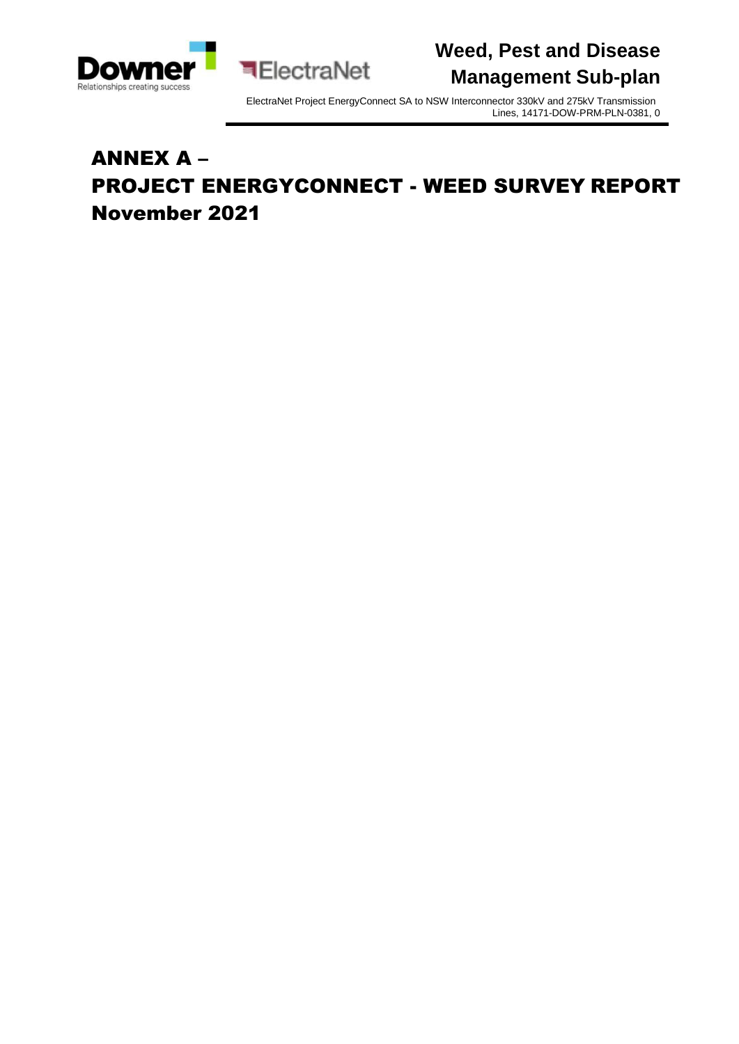



# ANNEX A – PROJECT ENERGYCONNECT - WEED SURVEY REPORT November 2021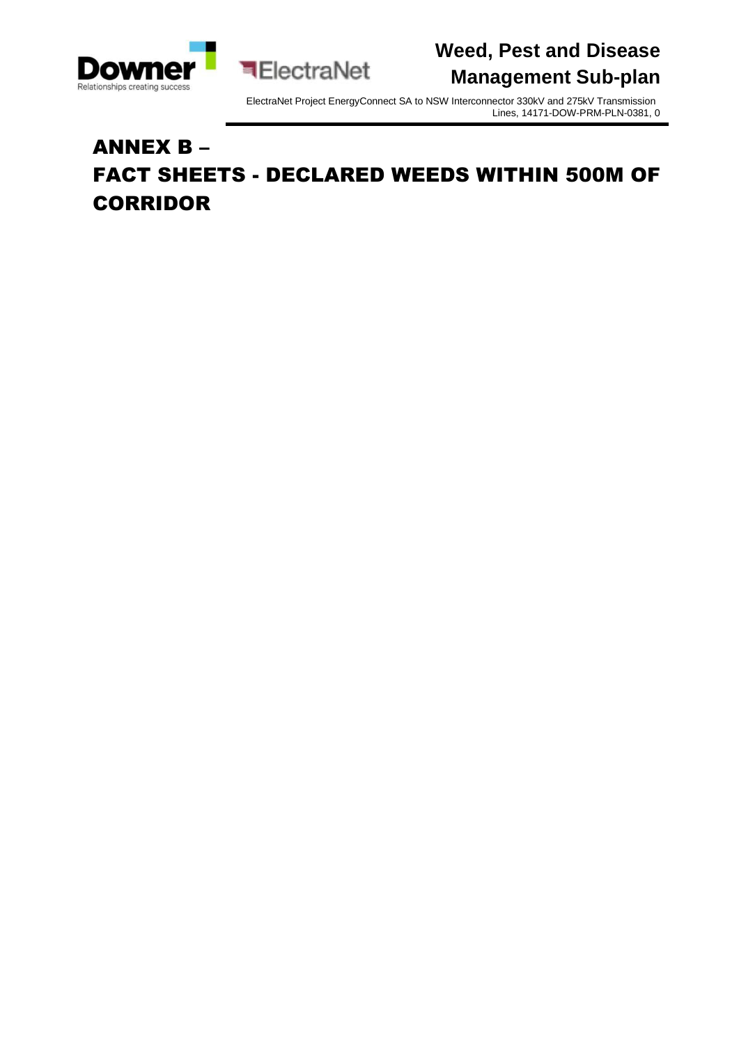

ElectraNet Project EnergyConnect SA to NSW Interconnector 330kV and 275kV Transmission Lines, 14171-DOW-PRM-PLN-0381, 0

# ANNEX B – FACT SHEETS - DECLARED WEEDS WITHIN 500M OF CORRIDOR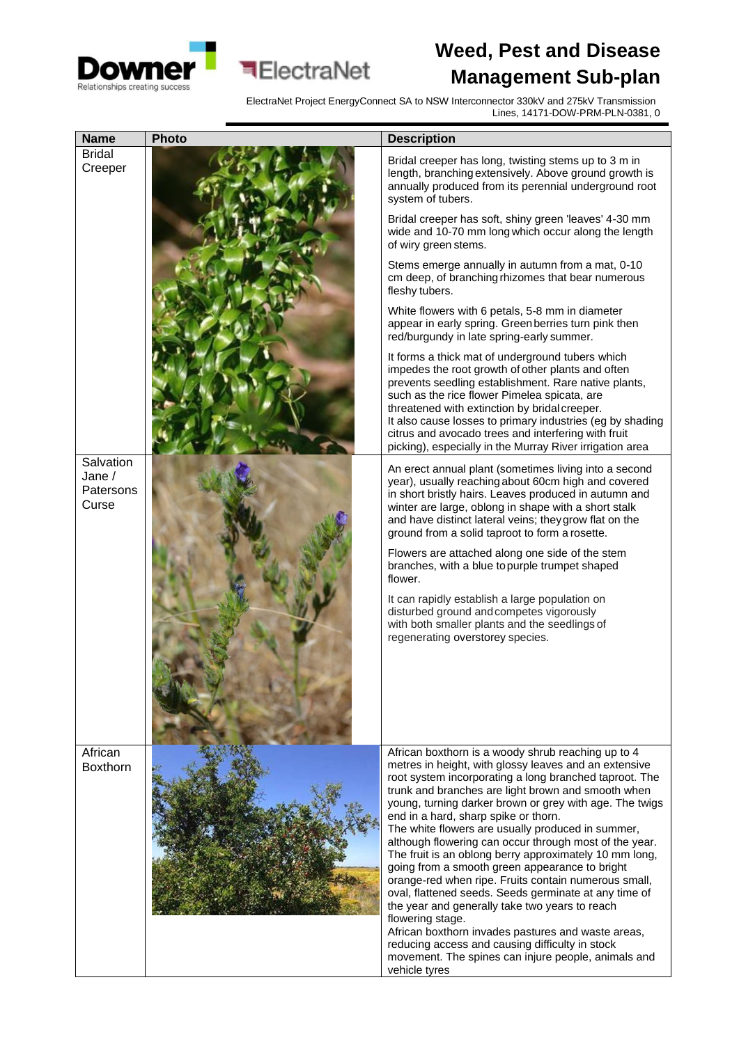



ElectraNet

| <b>Name</b>                               | <b>Photo</b> | <b>Description</b>                                                                                                                                                                                                                                                                                                                                                                                                                                                                                                                                                             |
|-------------------------------------------|--------------|--------------------------------------------------------------------------------------------------------------------------------------------------------------------------------------------------------------------------------------------------------------------------------------------------------------------------------------------------------------------------------------------------------------------------------------------------------------------------------------------------------------------------------------------------------------------------------|
| <b>Bridal</b><br>Creeper                  |              | Bridal creeper has long, twisting stems up to 3 m in<br>length, branching extensively. Above ground growth is<br>annually produced from its perennial underground root<br>system of tubers.                                                                                                                                                                                                                                                                                                                                                                                    |
|                                           |              | Bridal creeper has soft, shiny green 'leaves' 4-30 mm<br>wide and 10-70 mm long which occur along the length<br>of wiry green stems.                                                                                                                                                                                                                                                                                                                                                                                                                                           |
|                                           |              | Stems emerge annually in autumn from a mat, 0-10<br>cm deep, of branching rhizomes that bear numerous<br>fleshy tubers.                                                                                                                                                                                                                                                                                                                                                                                                                                                        |
|                                           |              | White flowers with 6 petals, 5-8 mm in diameter<br>appear in early spring. Green berries turn pink then<br>red/burgundy in late spring-early summer.                                                                                                                                                                                                                                                                                                                                                                                                                           |
|                                           |              | It forms a thick mat of underground tubers which<br>impedes the root growth of other plants and often<br>prevents seedling establishment. Rare native plants,<br>such as the rice flower Pimelea spicata, are<br>threatened with extinction by bridal creeper.<br>It also cause losses to primary industries (eg by shading<br>citrus and avocado trees and interfering with fruit<br>picking), especially in the Murray River irrigation area                                                                                                                                 |
| Salvation<br>Jane /<br>Patersons<br>Curse |              | An erect annual plant (sometimes living into a second<br>year), usually reaching about 60cm high and covered<br>in short bristly hairs. Leaves produced in autumn and<br>winter are large, oblong in shape with a short stalk<br>and have distinct lateral veins; they grow flat on the<br>ground from a solid taproot to form a rosette.                                                                                                                                                                                                                                      |
|                                           |              | Flowers are attached along one side of the stem<br>branches, with a blue to purple trumpet shaped<br>flower.                                                                                                                                                                                                                                                                                                                                                                                                                                                                   |
|                                           |              | It can rapidly establish a large population on<br>disturbed ground and competes vigorously<br>with both smaller plants and the seedlings of<br>regenerating overstorey species.                                                                                                                                                                                                                                                                                                                                                                                                |
| African<br><b>Boxthorn</b>                |              | African boxthorn is a woody shrub reaching up to 4<br>metres in height, with glossy leaves and an extensive<br>root system incorporating a long branched taproot. The<br>trunk and branches are light brown and smooth when<br>young, turning darker brown or grey with age. The twigs<br>end in a hard, sharp spike or thorn.                                                                                                                                                                                                                                                 |
|                                           |              | The white flowers are usually produced in summer,<br>although flowering can occur through most of the year.<br>The fruit is an oblong berry approximately 10 mm long,<br>going from a smooth green appearance to bright<br>orange-red when ripe. Fruits contain numerous small,<br>oval, flattened seeds. Seeds germinate at any time of<br>the year and generally take two years to reach<br>flowering stage.<br>African boxthorn invades pastures and waste areas,<br>reducing access and causing difficulty in stock<br>movement. The spines can injure people, animals and |
|                                           |              | vehicle tyres                                                                                                                                                                                                                                                                                                                                                                                                                                                                                                                                                                  |